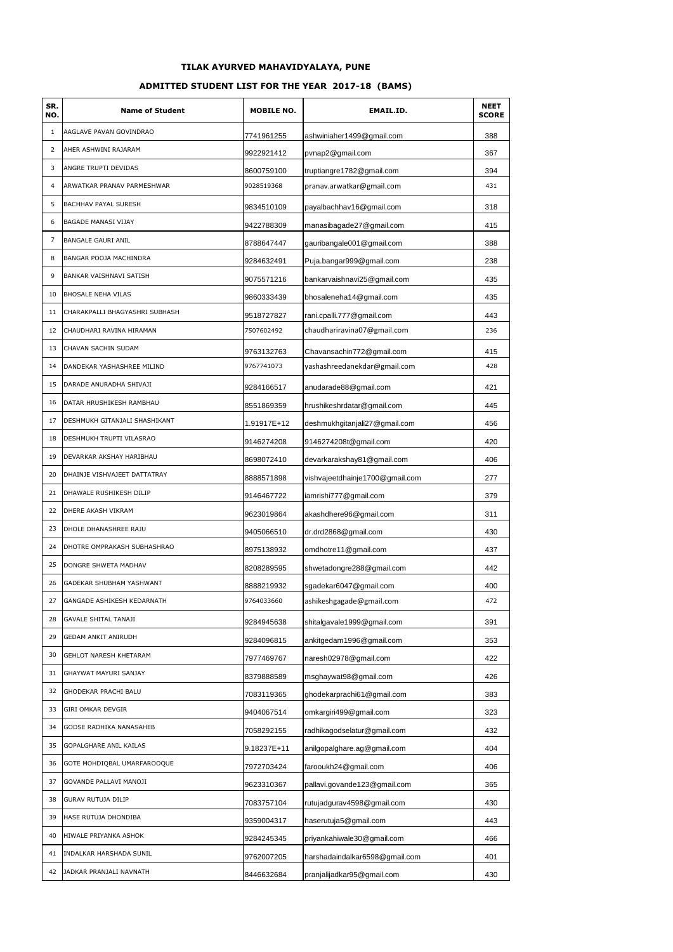## **TILAK AYURVED MAHAVIDYALAYA, PUNE**

#### **ADMITTED STUDENT LIST FOR THE YEAR 2017-18 (BAMS)**

| SR.<br>NO.     | <b>Name of Student</b>         | <b>MOBILE NO.</b> | EMAIL.ID.                       | <b>NEET</b><br><b>SCORE</b> |
|----------------|--------------------------------|-------------------|---------------------------------|-----------------------------|
| $\mathbf{1}$   | AAGLAVE PAVAN GOVINDRAO        | 7741961255        | ashwiniaher1499@gmail.com       | 388                         |
| 2              | AHER ASHWINI RAJARAM           | 9922921412        | pvnap2@gmail.com                | 367                         |
| 3              | ANGRE TRUPTI DEVIDAS           | 8600759100        | truptiangre1782@gmail.com       | 394                         |
| $\overline{4}$ | ARWATKAR PRANAV PARMESHWAR     | 9028519368        | pranav.arwatkar@gmail.com       | 431                         |
| 5              | BACHHAV PAYAL SURESH           | 9834510109        | payalbachhav16@gmail.com        | 318                         |
| 6              | <b>BAGADE MANASI VIJAY</b>     | 9422788309        | manasibagade27@gmail.com        | 415                         |
| $\overline{7}$ | <b>BANGALE GAURI ANIL</b>      | 8788647447        | gauribangale001@gmail.com       | 388                         |
| 8              | BANGAR POOJA MACHINDRA         | 9284632491        | Puja.bangar999@gmail.com        | 238                         |
| 9              | BANKAR VAISHNAVI SATISH        | 9075571216        | bankarvaishnavi25@gmail.com     | 435                         |
| 10             | <b>BHOSALE NEHA VILAS</b>      | 9860333439        | bhosaleneha14@gmail.com         | 435                         |
| 11             | CHARAKPALLI BHAGYASHRI SUBHASH | 9518727827        | rani.cpalli.777@gmail.com       | 443                         |
| 12             | CHAUDHARI RAVINA HIRAMAN       | 7507602492        | chaudhariravina07@gmail.com     | 236                         |
| 13             | CHAVAN SACHIN SUDAM            | 9763132763        | Chavansachin772@gmail.com       | 415                         |
| 14             | DANDEKAR YASHASHREE MILIND     | 9767741073        | yashashreedanekdar@gmail.com    | 428                         |
| 15             | DARADE ANURADHA SHIVAJI        | 9284166517        | anudarade88@gmail.com           | 421                         |
| 16             | DATAR HRUSHIKESH RAMBHAU       | 8551869359        | hrushikeshrdatar@gmail.com      | 445                         |
| 17             | DESHMUKH GITANJALI SHASHIKANT  | 1.91917E+12       | deshmukhgitanjali27@gmail.com   | 456                         |
| 18             | DESHMUKH TRUPTI VILASRAO       | 9146274208        | 9146274208t@gmail.com           | 420                         |
| 19             | DEVARKAR AKSHAY HARIBHAU       | 8698072410        | devarkarakshay81@gmail.com      | 406                         |
| 20             | DHAINJE VISHVAJEET DATTATRAY   | 8888571898        | vishvajeetdhainje1700@gmail.com | 277                         |
| 21             | DHAWALE RUSHIKESH DILIP        | 9146467722        | iamrishi777@gmail.com           | 379                         |
| 22             | DHERE AKASH VIKRAM             | 9623019864        | akashdhere96@gmail.com          | 311                         |
| 23             | DHOLE DHANASHREE RAJU          | 9405066510        | dr.drd2868@gmail.com            | 430                         |
| 24             | DHOTRE OMPRAKASH SUBHASHRAO    | 8975138932        | omdhotre11@gmail.com            | 437                         |
| 25             | DONGRE SHWETA MADHAV           | 8208289595        | shwetadongre288@gmail.com       | 442                         |
| 26             | GADEKAR SHUBHAM YASHWANT       | 8888219932        | sgadekar6047@gmail.com          | 400                         |
| 27             | GANGADE ASHIKESH KEDARNATH     | 9764033660        | ashikeshgagade@gmail.com        | 472                         |
| 28             | <b>GAVALE SHITAL TANAJI</b>    | 9284945638        | shitalgavale1999@gmail.com      | 391                         |
| 29             | GEDAM ANKIT ANIRUDH            | 9284096815        | ankitgedam1996@gmail.com        | 353                         |
| 30             | GEHLOT NARESH KHETARAM         | 7977469767        | naresh02978@gmail.com           | 422                         |
| 31             | GHAYWAT MAYURI SANJAY          | 8379888589        | msghaywat98@gmail.com           | 426                         |
| 32             | GHODEKAR PRACHI BALU           | 7083119365        | ghodekarprachi61@gmail.com      | 383                         |
| 33             | GIRI OMKAR DEVGIR              | 9404067514        | omkargiri499@gmail.com          | 323                         |
| 34             | GODSE RADHIKA NANASAHEB        | 7058292155        | radhikagodselatur@gmail.com     | 432                         |
| 35             | GOPALGHARE ANIL KAILAS         | 9.18237E+11       | anilgopalghare.ag@gmail.com     | 404                         |
| 36             | GOTE MOHDIQBAL UMARFAROOQUE    | 7972703424        | farooukh24@gmail.com            | 406                         |
| 37             | GOVANDE PALLAVI MANOJI         | 9623310367        | pallavi.govande123@gmail.com    | 365                         |
| 38             | GURAV RUTUJA DILIP             | 7083757104        | rutujadgurav4598@gmail.com      | 430                         |
| 39             | HASE RUTUJA DHONDIBA           | 9359004317        | haserutuja5@gmail.com           | 443                         |
| 40             | HIWALE PRIYANKA ASHOK          | 9284245345        | priyankahiwale30@gmail.com      | 466                         |
| 41             | INDALKAR HARSHADA SUNIL        | 9762007205        | harshadaindalkar6598@gmail.com  | 401                         |
| 42             | JADKAR PRANJALI NAVNATH        | 8446632684        | pranjalijadkar95@gmail.com      | 430                         |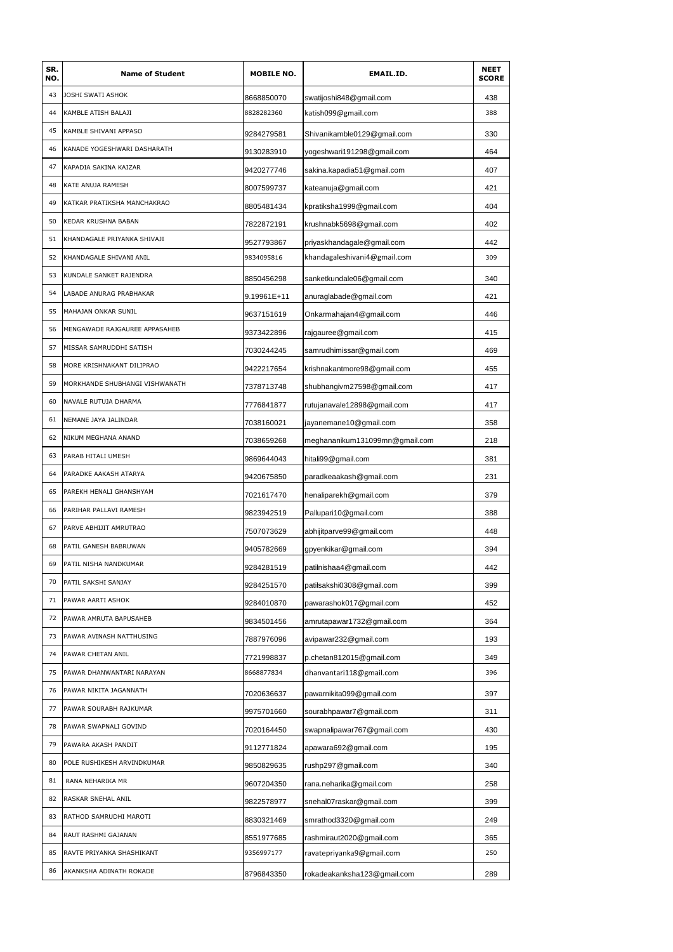| SR.<br>NO. | <b>Name of Student</b>         | <b>MOBILE NO.</b> | <b>EMAIL.ID.</b>               | <b>NEET</b><br><b>SCORE</b> |
|------------|--------------------------------|-------------------|--------------------------------|-----------------------------|
| 43         | JOSHI SWATI ASHOK              | 8668850070        | swatijoshi848@gmail.com        | 438                         |
| 44         | KAMBLE ATISH BALAJI            | 8828282360        | katish099@gmail.com            | 388                         |
| 45         | KAMBLE SHIVANI APPASO          | 9284279581        | Shivanikamble0129@gmail.com    | 330                         |
| 46         | KANADE YOGESHWARI DASHARATH    | 9130283910        | yogeshwari191298@gmail.com     | 464                         |
| 47         | KAPADIA SAKINA KAIZAR          | 9420277746        | sakina.kapadia51@gmail.com     | 407                         |
| 48         | KATE ANUJA RAMESH              | 8007599737        | kateanuja@gmail.com            | 421                         |
| 49         | KATKAR PRATIKSHA MANCHAKRAO    | 8805481434        | kpratiksha1999@gmail.com       | 404                         |
| 50         | KEDAR KRUSHNA BABAN            | 7822872191        | krushnabk5698@gmail.com        | 402                         |
| 51         | KHANDAGALE PRIYANKA SHIVAJI    | 9527793867        | priyaskhandagale@gmail.com     | 442                         |
| 52         | KHANDAGALE SHIVANI ANIL        | 9834095816        | khandagaleshivani4@gmail.com   | 309                         |
| 53         | KUNDALE SANKET RAJENDRA        | 8850456298        | sanketkundale06@gmail.com      | 340                         |
| 54         | LABADE ANURAG PRABHAKAR        | 9.19961E+11       | anuraglabade@gmail.com         | 421                         |
| 55         | MAHAJAN ONKAR SUNIL            | 9637151619        | Onkarmahajan4@gmail.com        | 446                         |
| 56         | MENGAWADE RAJGAUREE APPASAHEB  | 9373422896        | rajgauree@gmail.com            | 415                         |
| 57         | MISSAR SAMRUDDHI SATISH        | 7030244245        | samrudhimissar@gmail.com       | 469                         |
| 58         | MORE KRISHNAKANT DILIPRAO      | 9422217654        | krishnakantmore98@gmail.com    | 455                         |
| 59         | MORKHANDE SHUBHANGI VISHWANATH | 7378713748        | shubhangivm27598@gmail.com     | 417                         |
| 60         | NAVALE RUTUJA DHARMA           | 7776841877        | rutujanavale12898@gmail.com    | 417                         |
| 61         | NEMANE JAYA JALINDAR           | 7038160021        | jayanemane10@gmail.com         | 358                         |
| 62         | NIKUM MEGHANA ANAND            | 7038659268        | meghananikum131099mn@gmail.com | 218                         |
| 63         | PARAB HITALI UMESH             | 9869644043        | hitali99@gmail.com             | 381                         |
| 64         | PARADKE AAKASH ATARYA          | 9420675850        | paradkeaakash@gmail.com        | 231                         |
| 65         | PAREKH HENALI GHANSHYAM        | 7021617470        | henaliparekh@gmail.com         | 379                         |
| 66         | PARIHAR PALLAVI RAMESH         | 9823942519        | Pallupari10@gmail.com          | 388                         |
| 67         | PARVE ABHIJIT AMRUTRAO         | 7507073629        | abhijitparve99@gmail.com       | 448                         |
| 68         | PATIL GANESH BABRUWAN          | 9405782669        | gpyenkikar@gmail.com           | 394                         |
| 69         | PATIL NISHA NANDKUMAR          | 9284281519        | patilnishaa4@gmail.com         | 442                         |
| 70         | PATIL SAKSHI SANJAY            | 9284251570        | patilsakshi0308@gmail.com      | 399                         |
| 71         | PAWAR AARTI ASHOK              | 9284010870        | pawarashok017@gmail.com        | 452                         |
| 72         | PAWAR AMRUTA BAPUSAHEB         | 9834501456        | amrutapawar1732@gmail.com      | 364                         |
| 73         | PAWAR AVINASH NATTHUSING       | 7887976096        | avipawar232@gmail.com          | 193                         |
| 74         | PAWAR CHETAN ANIL              | 7721998837        | p.chetan812015@gmail.com       | 349                         |
| 75         | PAWAR DHANWANTARI NARAYAN      | 8668877834        | dhanvantari118@gmail.com       | 396                         |
| 76         | PAWAR NIKITA JAGANNATH         | 7020636637        | pawarnikita099@gmail.com       | 397                         |
| 77         | PAWAR SOURABH RAJKUMAR         | 9975701660        | sourabhpawar7@gmail.com        | 311                         |
| 78         | PAWAR SWAPNALI GOVIND          | 7020164450        | swapnalipawar767@gmail.com     | 430                         |
| 79         | PAWARA AKASH PANDIT            | 9112771824        | apawara692@gmail.com           | 195                         |
| 80         | POLE RUSHIKESH ARVINDKUMAR     | 9850829635        | rushp297@gmail.com             | 340                         |
| 81         | RANA NEHARIKA MR               | 9607204350        | rana.neharika@gmail.com        | 258                         |
| 82         | RASKAR SNEHAL ANIL             | 9822578977        | snehal07raskar@gmail.com       | 399                         |
| 83         | RATHOD SAMRUDHI MAROTI         | 8830321469        | smrathod3320@gmail.com         | 249                         |
| 84         | RAUT RASHMI GAJANAN            | 8551977685        | rashmiraut2020@gmail.com       | 365                         |
| 85         | RAVTE PRIYANKA SHASHIKANT      | 9356997177        | ravatepriyanka9@gmail.com      | 250                         |
| 86         | AKANKSHA ADINATH ROKADE        | 8796843350        | rokadeakanksha123@gmail.com    | 289                         |
|            |                                |                   |                                |                             |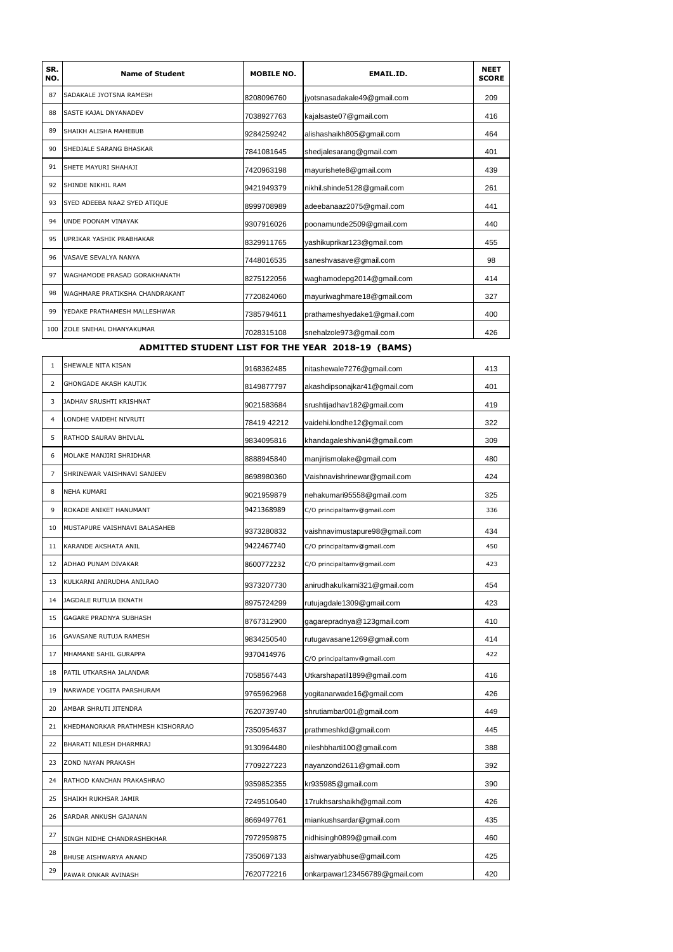| SR.<br>NO. | <b>Name of Student</b>          | <b>MOBILE NO.</b> | <b>EMAIL.ID.</b>            | <b>NEET</b><br><b>SCORE</b> |
|------------|---------------------------------|-------------------|-----------------------------|-----------------------------|
| 87         | <b>SADAKALE JYOTSNA RAMESH</b>  | 8208096760        | jyotsnasadakale49@gmail.com | 209                         |
| 88         | <b>SASTE KAJAL DNYANADEV</b>    | 7038927763        | kajalsaste07@gmail.com      | 416                         |
| 89         | SHAIKH ALISHA MAHEBUB           | 9284259242        | alishashaikh805@gmail.com   | 464                         |
| 90         | <b>SHEDJALE SARANG BHASKAR</b>  | 7841081645        | shedjalesarang@gmail.com    | 401                         |
| 91         | SHETE MAYURI SHAHAJI            | 7420963198        | mayurishete8@gmail.com      | 439                         |
| 92         | SHINDE NIKHIL RAM               | 9421949379        | nikhil.shinde5128@gmail.com | 261                         |
| 93         | SYED ADEEBA NAAZ SYED ATIQUE    | 8999708989        | adeebanaaz2075@gmail.com    | 441                         |
| 94         | <b>UNDE POONAM VINAYAK</b>      | 9307916026        | poonamunde2509@gmail.com    | 440                         |
| 95         | <b>UPRIKAR YASHIK PRABHAKAR</b> | 8329911765        | yashikuprikar123@gmail.com  | 455                         |
| 96         | VASAVE SEVALYA NANYA            | 7448016535        | saneshvasave@gmail.com      | 98                          |
| 97         | WAGHAMODE PRASAD GORAKHANATH    | 8275122056        | waghamodepq2014@gmail.com   | 414                         |
| 98         | WAGHMARE PRATIKSHA CHANDRAKANT  | 7720824060        | mayuriwaghmare18@gmail.com  | 327                         |
| 99         | YEDAKE PRATHAMESH MALLESHWAR    | 7385794611        | prathameshyedake1@gmail.com | 400                         |
| 100        | ZOLE SNEHAL DHANYAKUMAR         | 7028315108        | snehalzole973@gmail.com     | 426                         |

## **ADMITTED STUDENT LIST FOR THE YEAR 2018-19 (BAMS)**

| $\mathbf{1}$   | SHEWALE NITA KISAN               | 9168362485  | nitashewale7276@gmail.com      | 413 |
|----------------|----------------------------------|-------------|--------------------------------|-----|
| $\overline{2}$ | <b>GHONGADE AKASH KAUTIK</b>     | 8149877797  | akashdipsonajkar41@gmail.com   | 401 |
| 3              | JADHAV SRUSHTI KRISHNAT          | 9021583684  | srushtijadhav182@gmail.com     | 419 |
| 4              | LONDHE VAIDEHI NIVRUTI           | 78419 42212 | vaidehi.londhe12@gmail.com     | 322 |
| 5              | RATHOD SAURAV BHIVLAL            | 9834095816  | khandagaleshivani4@gmail.com   | 309 |
| 6              | MOLAKE MANJIRI SHRIDHAR          | 8888945840  | manjirismolake@gmail.com       | 480 |
| $\overline{7}$ | SHRINEWAR VAISHNAVI SANJEEV      | 8698980360  | Vaishnavishrinewar@gmail.com   | 424 |
| 8              | NEHA KUMARI                      | 9021959879  | nehakumari95558@gmail.com      | 325 |
| 9              | ROKADE ANIKET HANUMANT           | 9421368989  | C/O principaltamv@gmail.com    | 336 |
| 10             | MUSTAPURE VAISHNAVI BALASAHEB    | 9373280832  | vaishnavimustapure98@gmail.com | 434 |
| 11             | KARANDE AKSHATA ANIL             | 9422467740  | C/O principaltamv@gmail.com    | 450 |
| 12             | ADHAO PUNAM DIVAKAR              | 8600772232  | C/O principaltamv@gmail.com    | 423 |
| 13             | KULKARNI ANIRUDHA ANILRAO        | 9373207730  | anirudhakulkarni321@gmail.com  | 454 |
| 14             | JAGDALE RUTUJA EKNATH            | 8975724299  | rutujagdale1309@gmail.com      | 423 |
| 15             | GAGARE PRADNYA SUBHASH           | 8767312900  | gagarepradnya@123gmail.com     | 410 |
| 16             | GAVASANE RUTUJA RAMESH           | 9834250540  | rutugavasane1269@gmail.com     | 414 |
| 17             | MHAMANE SAHIL GURAPPA            | 9370414976  | C/O principaltamv@gmail.com    | 422 |
| 18             | PATIL UTKARSHA JALANDAR          | 7058567443  | Utkarshapatil1899@gmail.com    | 416 |
| 19             | NARWADE YOGITA PARSHURAM         | 9765962968  | yogitanarwade16@gmail.com      | 426 |
| 20             | AMBAR SHRUTI JITENDRA            | 7620739740  | shrutiambar001@gmail.com       | 449 |
| 21             | KHEDMANORKAR PRATHMESH KISHORRAO | 7350954637  | prathmeshkd@gmail.com          | 445 |
| 22             | BHARATI NILESH DHARMRAJ          | 9130964480  | nileshbharti100@gmail.com      | 388 |
| 23             | ZOND NAYAN PRAKASH               | 7709227223  | nayanzond2611@gmail.com        | 392 |
| 24             | RATHOD KANCHAN PRAKASHRAO        | 9359852355  | kr935985@gmail.com             | 390 |
| 25             | SHAIKH RUKHSAR JAMIR             | 7249510640  | 17rukhsarshaikh@gmail.com      | 426 |
| 26             | SARDAR ANKUSH GAJANAN            | 8669497761  | miankushsardar@gmail.com       | 435 |
| 27             | SINGH NIDHE CHANDRASHEKHAR       | 7972959875  | nidhisingh0899@gmail.com       | 460 |
| 28             | BHUSE AISHWARYA ANAND            | 7350697133  | aishwaryabhuse@gmail.com       | 425 |
| 29             | PAWAR ONKAR AVINASH              | 7620772216  | onkarpawar123456789@gmail.com  | 420 |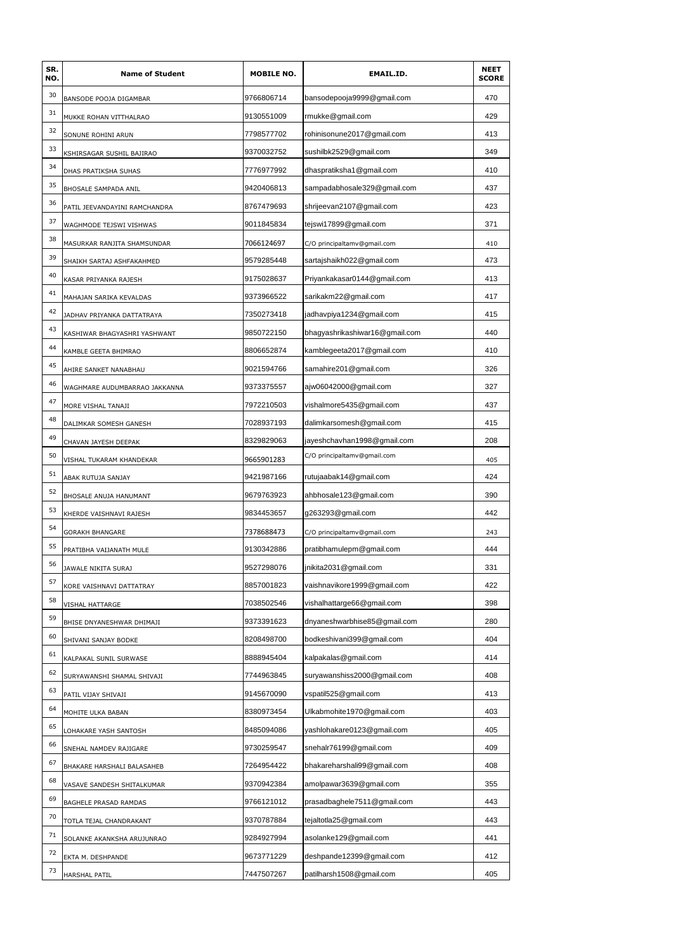| SR.<br>NO. | <b>Name of Student</b>        | <b>MOBILE NO.</b> | EMAIL.ID.                      | <b>NEET</b><br><b>SCORE</b> |
|------------|-------------------------------|-------------------|--------------------------------|-----------------------------|
| 30         | BANSODE POOJA DIGAMBAR        | 9766806714        | bansodepooja9999@gmail.com     | 470                         |
| 31         | MUKKE ROHAN VITTHALRAO        | 9130551009        | rmukke@gmail.com               | 429                         |
| 32         | SONUNE ROHINI ARUN            | 7798577702        | rohinisonune2017@qmail.com     | 413                         |
| 33         | KSHIRSAGAR SUSHIL BAJIRAO     | 9370032752        | sushilbk2529@gmail.com         | 349                         |
| 34         | DHAS PRATIKSHA SUHAS          | 7776977992        | dhaspratiksha1@gmail.com       | 410                         |
| 35         | BHOSALE SAMPADA ANIL          | 9420406813        | sampadabhosale329@gmail.com    | 437                         |
| 36         | PATIL JEEVANDAYINI RAMCHANDRA | 8767479693        | shrijeevan2107@gmail.com       | 423                         |
| 37         | WAGHMODE TEJSWI VISHWAS       | 9011845834        | tejswi17899@gmail.com          | 371                         |
| 38         | MASURKAR RANJITA SHAMSUNDAR   | 7066124697        | C/O principaltamv@gmail.com    | 410                         |
| 39         | SHAIKH SARTAJ ASHFAKAHMED     | 9579285448        | sartajshaikh022@gmail.com      | 473                         |
| 40         | KASAR PRIYANKA RAJESH         | 9175028637        | Priyankakasar0144@gmail.com    | 413                         |
| 41         | MAHAJAN SARIKA KEVALDAS       | 9373966522        | sarikakm22@gmail.com           | 417                         |
| 42         | JADHAV PRIYANKA DATTATRAYA    | 7350273418        | jadhavpiya1234@gmail.com       | 415                         |
| 43         | KASHIWAR BHAGYASHRI YASHWANT  | 9850722150        | bhagyashrikashiwar16@gmail.com | 440                         |
| 44         | KAMBLE GEETA BHIMRAO          | 8806652874        | kamblegeeta2017@gmail.com      | 410                         |
| 45         | AHIRE SANKET NANABHAU         | 9021594766        | samahire201@gmail.com          | 326                         |
| 46         | WAGHMARE AUDUMBARRAO JAKKANNA | 9373375557        | ajw06042000@gmail.com          | 327                         |
| 47         | MORE VISHAL TANAJI            | 7972210503        | vishalmore5435@gmail.com       | 437                         |
| 48         | DALIMKAR SOMESH GANESH        | 7028937193        | dalimkarsomesh@gmail.com       | 415                         |
| 49         | CHAVAN JAYESH DEEPAK          | 8329829063        | jayeshchavhan1998@gmail.com    | 208                         |
| 50         | VISHAL TUKARAM KHANDEKAR      | 9665901283        | C/O principaltamv@gmail.com    | 405                         |
| 51         | ABAK RUTUJA SANJAY            | 9421987166        | rutujaabak14@gmail.com         | 424                         |
| 52         | BHOSALE ANUJA HANUMANT        | 9679763923        | ahbhosale123@gmail.com         | 390                         |
| 53         | KHERDE VAISHNAVI RAJESH       | 9834453657        | g263293@gmail.com              | 442                         |
| 54         | GORAKH BHANGARE               | 7378688473        | C/O principaltamv@gmail.com    | 243                         |
| 55         | PRATIBHA VAIJANATH MULE       | 9130342886        | pratibhamulepm@gmail.com       | 444                         |
| 56         | JAWALE NIKITA SURAJ           | 9527298076        | jnikita2031@gmail.com          | 331                         |
| 57         | KORE VAISHNAVI DATTATRAY      | 8857001823        | vaishnavikore1999@gmail.com    | 422                         |
| 58         | VISHAL HATTARGE               | 7038502546        | vishalhattarge66@gmail.com     | 398                         |
| 59         | BHISE DNYANESHWAR DHIMAJI     | 9373391623        | dnyaneshwarbhise85@gmail.com   | 280                         |
| 60         | SHIVANI SANJAY BODKE          | 8208498700        | bodkeshivani399@gmail.com      | 404                         |
| 61         | KALPAKAL SUNIL SURWASE        | 8888945404        | kalpakalas@gmail.com           | 414                         |
| 62         | SURYAWANSHI SHAMAL SHIVAJI    | 7744963845        | suryawanshiss2000@gmail.com    | 408                         |
| 63         | PATIL VIJAY SHIVAJI           | 9145670090        | vspatil525@gmail.com           | 413                         |
| 64         | MOHITE ULKA BABAN             | 8380973454        | Ulkabmohite1970@gmail.com      | 403                         |
| 65         | LOHAKARE YASH SANTOSH         | 8485094086        | yashlohakare0123@gmail.com     | 405                         |
| 66         | SNEHAL NAMDEV RAJIGARE        | 9730259547        | snehalr76199@gmail.com         | 409                         |
| 67         | BHAKARE HARSHALI BALASAHEB    | 7264954422        | bhakareharshali99@gmail.com    | 408                         |
| 68         | VASAVE SANDESH SHITALKUMAR    | 9370942384        | amolpawar3639@gmail.com        | 355                         |
| 69         | BAGHELE PRASAD RAMDAS         | 9766121012        | prasadbaghele7511@gmail.com    | 443                         |
| 70         | TOTLA TEJAL CHANDRAKANT       | 9370787884        | tejaltotla25@gmail.com         | 443                         |
| 71         | SOLANKE AKANKSHA ARUJUNRAO    | 9284927994        | asolanke129@gmail.com          | 441                         |
| 72         | EKTA M. DESHPANDE             | 9673771229        | deshpande12399@gmail.com       | 412                         |
| 73         | HARSHAL PATIL                 | 7447507267        | patilharsh1508@gmail.com       | 405                         |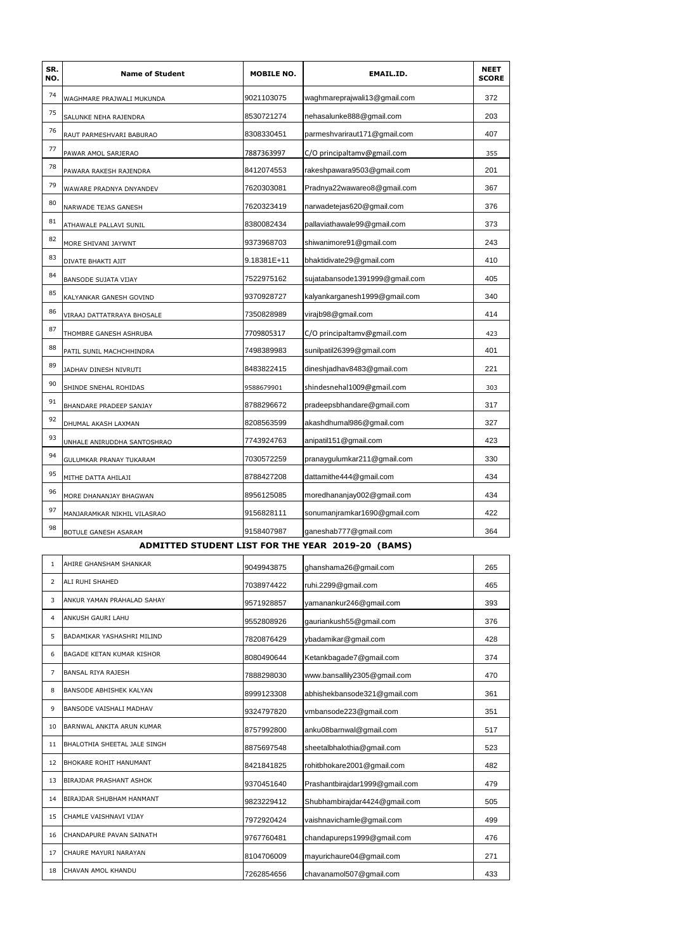| SR.<br>NO. | <b>Name of Student</b>      | <b>MOBILE NO.</b> | <b>EMAIL.ID.</b>               | <b>NEET</b><br><b>SCORE</b> |
|------------|-----------------------------|-------------------|--------------------------------|-----------------------------|
| 74         | WAGHMARE PRAJWALI MUKUNDA   | 9021103075        | waghmareprajwali13@gmail.com   | 372                         |
| 75         | SALUNKE NEHA RAJENDRA       | 8530721274        | nehasalunke888@gmail.com       | 203                         |
| 76         | RAUT PARMESHVARI BABURAO    | 8308330451        | parmeshvariraut171@gmail.com   | 407                         |
| 77         | PAWAR AMOL SARJERAO         | 7887363997        | C/O principaltamv@gmail.com    | 355                         |
| 78         | PAWARA RAKESH RAJENDRA      | 8412074553        | rakeshpawara9503@gmail.com     | 201                         |
| 79         | WAWARE PRADNYA DNYANDEV     | 7620303081        | Pradnya22wawareo8@gmail.com    | 367                         |
| 80         | NARWADE TEJAS GANESH        | 7620323419        | narwadetejas620@gmail.com      | 376                         |
| 81         | ATHAWALE PALLAVI SUNIL      | 8380082434        | pallaviathawale99@qmail.com    | 373                         |
| 82         | MORE SHIVANI JAYWNT         | 9373968703        | shiwanimore91@gmail.com        | 243                         |
| 83         | DIVATE BHAKTI AJIT          | 9.18381E+11       | bhaktidivate29@gmail.com       | 410                         |
| 84         | BANSODE SUJATA VIJAY        | 7522975162        | sujatabansode1391999@gmail.com | 405                         |
| 85         | KALYANKAR GANESH GOVIND     | 9370928727        | kalyankarganesh1999@gmail.com  | 340                         |
| 86         | VIRAAJ DATTATRRAYA BHOSALE  | 7350828989        | virajb98@gmail.com             | 414                         |
| 87         | THOMBRE GANESH ASHRUBA      | 7709805317        | C/O principaltamv@gmail.com    | 423                         |
| 88         | PATIL SUNIL MACHCHHINDRA    | 7498389983        | sunilpatil26399@gmail.com      | 401                         |
| 89         | JADHAV DINESH NIVRUTI       | 8483822415        | dineshjadhav8483@gmail.com     | 221                         |
| 90         | SHINDE SNEHAL ROHIDAS       | 9588679901        | shindesnehal1009@gmail.com     | 303                         |
| 91         | BHANDARE PRADEEP SANJAY     | 8788296672        | pradeepsbhandare@gmail.com     | 317                         |
| 92         | DHUMAL AKASH LAXMAN         | 8208563599        | akashdhumal986@gmail.com       | 327                         |
| 93         | UNHALE ANIRUDDHA SANTOSHRAO | 7743924763        | anipatil151@gmail.com          | 423                         |
| 94         | GULUMKAR PRANAY TUKARAM     | 7030572259        | pranaygulumkar211@gmail.com    | 330                         |
| 95         | MITHE DATTA AHILAJI         | 8788427208        | dattamithe444@gmail.com        | 434                         |
| 96         | MORE DHANANJAY BHAGWAN      | 8956125085        | moredhananjay002@gmail.com     | 434                         |
| 97         | MANJARAMKAR NIKHIL VILASRAO | 9156828111        | sonumanjramkar1690@gmail.com   | 422                         |
| 98         | BOTULE GANESH ASARAM        | 9158407987        | ganeshab777@gmail.com          | 364                         |

#### **ADMITTED STUDENT LIST FOR THE YEAR 2019-20 (BAMS)**

| 1                        | AHIRE GHANSHAM SHANKAR         | 9049943875 | ghanshama26@gmail.com          | 265 |
|--------------------------|--------------------------------|------------|--------------------------------|-----|
| $\overline{\phantom{a}}$ | ALI RUHI SHAHED                | 7038974422 | ruhi.2299@gmail.com            | 465 |
| 3                        | ANKUR YAMAN PRAHALAD SAHAY     | 9571928857 | yamanankur246@gmail.com        | 393 |
| 4                        | ANKUSH GAURI LAHU              | 9552808926 | gauriankush55@gmail.com        | 376 |
| 5                        | BADAMIKAR YASHASHRI MILIND     | 7820876429 | ybadamikar@gmail.com           | 428 |
| 6                        | BAGADE KETAN KUMAR KISHOR      | 8080490644 | Ketankbagade7@gmail.com        | 374 |
| 7                        | <b>BANSAL RIYA RAJESH</b>      | 7888298030 | www.bansallily2305@gmail.com   | 470 |
| 8                        | <b>BANSODE ABHISHEK KALYAN</b> | 8999123308 | abhishekbansode321@gmail.com   | 361 |
| 9                        | BANSODE VAISHALI MADHAV        | 9324797820 | vmbansode223@qmail.com         | 351 |
| 10                       | BARNWAL ANKITA ARUN KUMAR      | 8757992800 | anku08barnwal@gmail.com        | 517 |
| 11                       | BHALOTHIA SHEETAL JALE SINGH   | 8875697548 | sheetalbhalothia@qmail.com     | 523 |
| 12                       | BHOKARE ROHIT HANUMANT         | 8421841825 | rohitbhokare2001@gmail.com     | 482 |
| 13                       | <b>BIRAJDAR PRASHANT ASHOK</b> | 9370451640 | Prashantbirajdar1999@gmail.com | 479 |
| 14                       | BIRAJDAR SHUBHAM HANMANT       | 9823229412 | Shubhambirajdar4424@gmail.com  | 505 |
| 15                       | CHAMLE VAISHNAVI VIJAY         | 7972920424 | vaishnavichamle@gmail.com      | 499 |
| 16                       | CHANDAPURE PAVAN SAINATH       | 9767760481 | chandapureps1999@gmail.com     | 476 |
| 17                       | CHAURE MAYURI NARAYAN          | 8104706009 | mayurichaure04@gmail.com       | 271 |
| 18                       | CHAVAN AMOL KHANDU             | 7262854656 | chavanamol507@gmail.com        | 433 |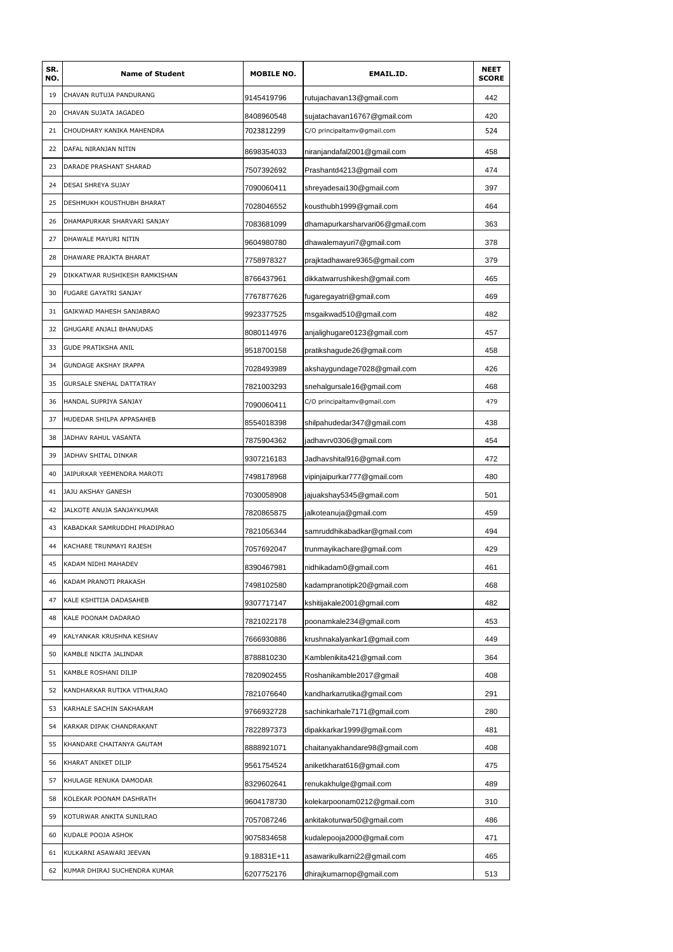| SR.<br>NO. | <b>Name of Student</b>          | <b>MOBILE NO.</b> | EMAIL.ID.                       | <b>NEET</b><br><b>SCORE</b> |
|------------|---------------------------------|-------------------|---------------------------------|-----------------------------|
| 19         | CHAVAN RUTUJA PANDURANG         | 9145419796        | rutujachavan13@gmail.com        | 442                         |
| 20         | CHAVAN SUJATA JAGADEO           | 8408960548        | sujatachavan16767@gmail.com     | 420                         |
| 21         | CHOUDHARY KANIKA MAHENDRA       | 7023812299        | C/O principaltamv@gmail.com     | 524                         |
| 22         | DAFAL NIRANJAN NITIN            | 8698354033        | niranjandafal2001@gmail.com     | 458                         |
| 23         | DARADE PRASHANT SHARAD          | 7507392692        | Prashantd4213@gmail com         | 474                         |
| 24         | DESAI SHREYA SUJAY              | 7090060411        | shreyadesai130@gmail.com        | 397                         |
| 25         | DESHMUKH KOUSTHUBH BHARAT       | 7028046552        | kousthubh1999@gmail.com         | 464                         |
| 26         | DHAMAPURKAR SHARVARI SANJAY     | 7083681099        | dhamapurkarsharvari06@gmail.com | 363                         |
| 27         | DHAWALE MAYURI NITIN            | 9604980780        | dhawalemayuri7@gmail.com        | 378                         |
| 28         | DHAWARE PRAJKTA BHARAT          | 7758978327        | prajktadhaware9365@gmail.com    | 379                         |
| 29         | DIKKATWAR RUSHIKESH RAMKISHAN   | 8766437961        | dikkatwarrushikesh@gmail.com    | 465                         |
| 30         | FUGARE GAYATRI SANJAY           | 7767877626        | fugaregayatri@gmail.com         | 469                         |
| 31         | GAIKWAD MAHESH SANJABRAO        | 9923377525        | msgaikwad510@gmail.com          | 482                         |
| 32         | GHUGARE ANJALI BHANUDAS         | 8080114976        | anjalighugare0123@gmail.com     | 457                         |
| 33         | GUDE PRATIKSHA ANIL             | 9518700158        | pratikshagude26@gmail.com       | 458                         |
| 34         | <b>GUNDAGE AKSHAY IRAPPA</b>    | 7028493989        | akshaygundage7028@gmail.com     | 426                         |
| 35         | <b>GURSALE SNEHAL DATTATRAY</b> | 7821003293        | snehalgursale16@gmail.com       | 468                         |
| 36         | HANDAL SUPRIYA SANJAY           | 7090060411        | C/O principaltamv@gmail.com     | 479                         |
| 37         | HUDEDAR SHILPA APPASAHEB        | 8554018398        | shilpahudedar347@gmail.com      | 438                         |
| 38         | JADHAV RAHUL VASANTA            | 7875904362        | jadhavrv0306@gmail.com          | 454                         |
| 39         | JADHAV SHITAL DINKAR            | 9307216183        | Jadhavshital916@gmail.com       | 472                         |
| 40         | JAIPURKAR YEEMENDRA MAROTI      | 7498178968        | vipinjaipurkar777@gmail.com     | 480                         |
| 41         | JAJU AKSHAY GANESH              | 7030058908        | jajuakshay5345@gmail.com        | 501                         |
| 42         | JALKOTE ANUJA SANJAYKUMAR       | 7820865875        | jalkoteanuja@gmail.com          | 459                         |
| 43         | KABADKAR SAMRUDDHI PRADIPRAO    | 7821056344        | samruddhikabadkar@gmail.com     | 494                         |
| 44         | KACHARE TRUNMAYI RAJESH         | 7057692047        | trunmayikachare@gmail.com       | 429                         |
| 45         | KADAM NIDHI MAHADEV             | 8390467981        | nidhikadam0@gmail.com           | 461                         |
| 46         | KADAM PRANOTI PRAKASH           | 7498102580        | kadampranotipk20@gmail.com      | 468                         |
| 47         | KALE KSHITIJA DADASAHEB         | 9307717147        | kshitijakale2001@gmail.com      | 482                         |
| 48         | KALE POONAM DADARAO             | 7821022178        | poonamkale234@gmail.com         | 453                         |
| 49         | KALYANKAR KRUSHNA KESHAV        | 7666930886        | krushnakalyankar1@gmail.com     | 449                         |
| 50         | KAMBLE NIKITA JALINDAR          | 8788810230        | Kamblenikita421@gmail.com       | 364                         |
| 51         | KAMBLE ROSHANI DILIP            | 7820902455        | Roshanikamble2017@gmail         | 408                         |
| 52         | KANDHARKAR RUTIKA VITHALRAO     | 7821076640        | kandharkarrutika@gmail.com      | 291                         |
| 53         | KARHALE SACHIN SAKHARAM         | 9766932728        | sachinkarhale7171@gmail.com     | 280                         |
| 54         | KARKAR DIPAK CHANDRAKANT        | 7822897373        | dipakkarkar1999@gmail.com       | 481                         |
| 55         | KHANDARE CHAITANYA GAUTAM       | 8888921071        | chaitanyakhandare98@gmail.com   | 408                         |
| 56         | KHARAT ANIKET DILIP             | 9561754524        | aniketkharat616@gmail.com       | 475                         |
| 57         | KHULAGE RENUKA DAMODAR          | 8329602641        | renukakhulge@gmail.com          | 489                         |
| 58         | KOLEKAR POONAM DASHRATH         | 9604178730        | kolekarpoonam0212@gmail.com     | 310                         |
| 59         | KOTURWAR ANKITA SUNILRAO        | 7057087246        | ankitakoturwar50@gmail.com      | 486                         |
| 60         | KUDALE POOJA ASHOK              | 9075834658        | kudalepooja2000@gmail.com       | 471                         |
| 61         | KULKARNI ASAWARI JEEVAN         | 9.18831E+11       | asawarikulkarni22@gmail.com     | 465                         |
| 62         | KUMAR DHIRAJ SUCHENDRA KUMAR    | 6207752176        | dhirajkumarnop@gmail.com        | 513                         |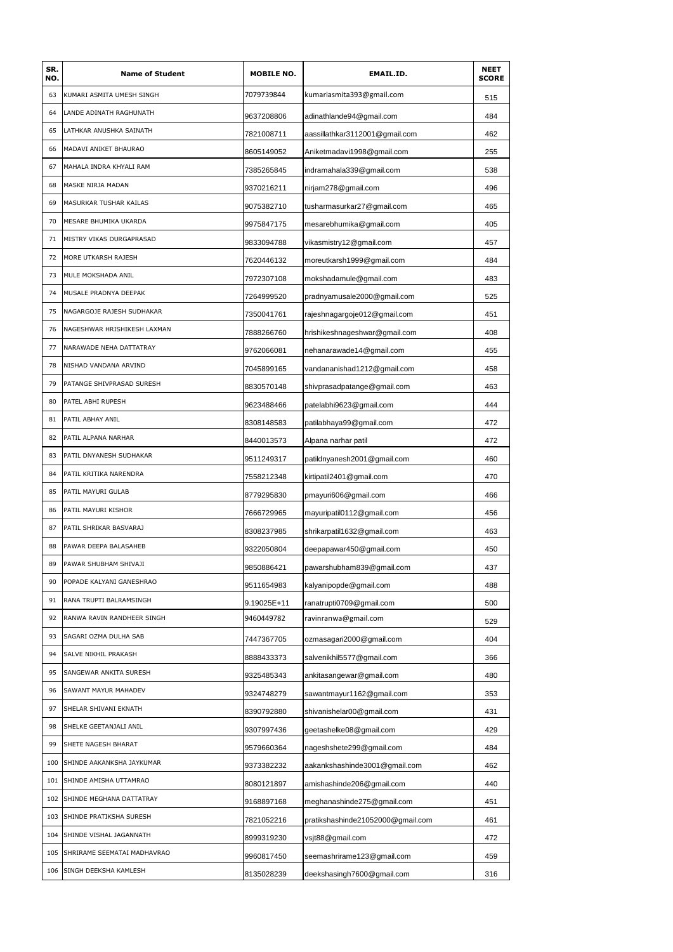| SR.<br>NO. | <b>Name of Student</b>      | <b>MOBILE NO.</b> | <b>EMAIL.ID.</b>                  | <b>NEET</b><br><b>SCORE</b> |
|------------|-----------------------------|-------------------|-----------------------------------|-----------------------------|
| 63         | KUMARI ASMITA UMESH SINGH   | 7079739844        | kumariasmita393@gmail.com         | 515                         |
| 64         | LANDE ADINATH RAGHUNATH     | 9637208806        | adinathlande94@gmail.com          | 484                         |
| 65         | LATHKAR ANUSHKA SAINATH     | 7821008711        | aassillathkar3112001@gmail.com    | 462                         |
| 66         | MADAVI ANIKET BHAURAO       | 8605149052        | Aniketmadavi1998@gmail.com        | 255                         |
| 67         | MAHALA INDRA KHYALI RAM     | 7385265845        | indramahala339@gmail.com          | 538                         |
| 68         | MASKE NIRJA MADAN           | 9370216211        | nirjam278@gmail.com               | 496                         |
| 69         | MASURKAR TUSHAR KAILAS      | 9075382710        | tusharmasurkar27@gmail.com        | 465                         |
| 70         | MESARE BHUMIKA UKARDA       | 9975847175        | mesarebhumika@gmail.com           | 405                         |
| 71         | MISTRY VIKAS DURGAPRASAD    | 9833094788        | vikasmistry12@gmail.com           | 457                         |
| 72         | MORE UTKARSH RAJESH         | 7620446132        | moreutkarsh1999@gmail.com         | 484                         |
| 73         | MULE MOKSHADA ANIL          | 7972307108        | mokshadamule@gmail.com            | 483                         |
| 74         | MUSALE PRADNYA DEEPAK       | 7264999520        | pradnyamusale2000@gmail.com       | 525                         |
| 75         | NAGARGOJE RAJESH SUDHAKAR   | 7350041761        | rajeshnagargoje012@gmail.com      | 451                         |
| 76         | NAGESHWAR HRISHIKESH LAXMAN | 7888266760        | hrishikeshnageshwar@gmail.com     | 408                         |
| 77         | NARAWADE NEHA DATTATRAY     | 9762066081        | nehanarawade14@gmail.com          | 455                         |
| 78         | NISHAD VANDANA ARVIND       | 7045899165        | vandananishad1212@gmail.com       | 458                         |
| 79         | PATANGE SHIVPRASAD SURESH   | 8830570148        | shivprasadpatange@gmail.com       | 463                         |
| 80         | PATEL ABHI RUPESH           | 9623488466        | patelabhi9623@gmail.com           | 444                         |
| 81         | PATIL ABHAY ANIL            | 8308148583        | patilabhaya99@gmail.com           | 472                         |
| 82         | PATIL ALPANA NARHAR         | 8440013573        | Alpana narhar patil               | 472                         |
| 83         | PATIL DNYANESH SUDHAKAR     | 9511249317        | patildnyanesh2001@gmail.com       | 460                         |
| 84         | PATIL KRITIKA NARENDRA      | 7558212348        | kirtipatil2401@gmail.com          | 470                         |
| 85         | PATIL MAYURI GULAB          | 8779295830        | pmayuri606@gmail.com              | 466                         |
| 86         | PATIL MAYURI KISHOR         | 7666729965        | mayuripatil0112@gmail.com         | 456                         |
| 87         | PATIL SHRIKAR BASVARAJ      | 8308237985        | shrikarpatil1632@gmail.com        | 463                         |
| 88         | PAWAR DEEPA BALASAHEB       | 9322050804        | deepapawar450@gmail.com           | 450                         |
| 89         | PAWAR SHUBHAM SHIVAJI       | 9850886421        | pawarshubham839@gmail.com         | 437                         |
| 90         | POPADE KALYANI GANESHRAO    | 9511654983        | kalyanipopde@gmail.com            | 488                         |
| 91         | RANA TRUPTI BALRAMSINGH     | 9.19025E+11       | ranatrupti0709@gmail.com          | 500                         |
| 92         | RANWA RAVIN RANDHEER SINGH  | 9460449782        | ravinranwa@gmail.com              | 529                         |
| 93         | SAGARI OZMA DULHA SAB       | 7447367705        | ozmasagari2000@gmail.com          | 404                         |
| 94         | SALVE NIKHIL PRAKASH        | 8888433373        | salvenikhil5577@gmail.com         | 366                         |
| 95         | SANGEWAR ANKITA SURESH      | 9325485343        | ankitasangewar@gmail.com          | 480                         |
| 96         | SAWANT MAYUR MAHADEV        | 9324748279        | sawantmayur1162@gmail.com         | 353                         |
| 97         | SHELAR SHIVANI EKNATH       | 8390792880        | shivanishelar00@gmail.com         | 431                         |
| 98         | SHELKE GEETANJALI ANIL      | 9307997436        | geetashelke08@gmail.com           | 429                         |
| 99         | SHETE NAGESH BHARAT         | 9579660364        | nageshshete299@gmail.com          | 484                         |
| 100        | SHINDE AAKANKSHA JAYKUMAR   | 9373382232        | aakankshashinde3001@gmail.com     | 462                         |
| 101        | SHINDE AMISHA UTTAMRAO      | 8080121897        | amishashinde206@gmail.com         | 440                         |
| 102        | SHINDE MEGHANA DATTATRAY    | 9168897168        | meghanashinde275@gmail.com        | 451                         |
| 103        | SHINDE PRATIKSHA SURESH     | 7821052216        | pratikshashinde21052000@gmail.com | 461                         |
| 104        | SHINDE VISHAL JAGANNATH     | 8999319230        | vsjt88@gmail.com                  | 472                         |
| 105        | SHRIRAME SEEMATAI MADHAVRAO | 9960817450        | seemashrirame123@gmail.com        | 459                         |
| 106        | SINGH DEEKSHA KAMLESH       | 8135028239        | deekshasingh7600@gmail.com        | 316                         |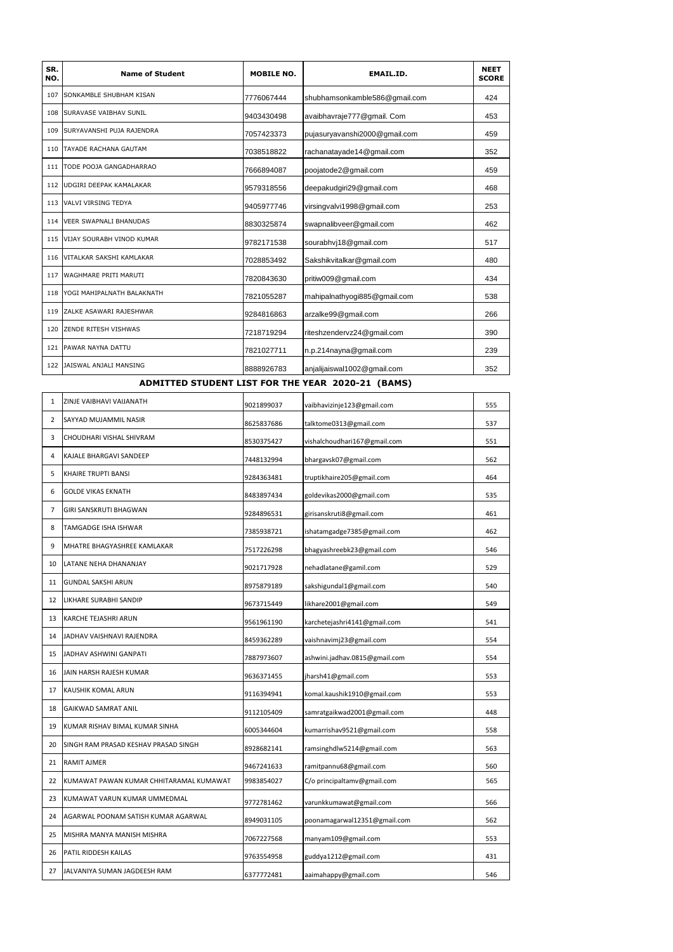| SR.<br>NO. | <b>Name of Student</b>        | <b>MOBILE NO.</b> | <b>EMAIL.ID.</b>              | <b>NEET</b><br><b>SCORE</b> |
|------------|-------------------------------|-------------------|-------------------------------|-----------------------------|
| 107        | SONKAMBLE SHUBHAM KISAN       | 7776067444        | shubhamsonkamble586@qmail.com | 424                         |
| 108        | SURAVASE VAIBHAV SUNIL        | 9403430498        | avaibhavraje777@gmail. Com    | 453                         |
|            | 109 SURYAVANSHI PUJA RAJENDRA | 7057423373        | pujasuryavanshi2000@gmail.com | 459                         |
| 110        | TAYADE RACHANA GAUTAM         | 7038518822        | rachanatayade14@gmail.com     | 352                         |
| 111        | TODE POOJA GANGADHARRAO       | 7666894087        | poojatode2@gmail.com          | 459                         |
|            | 112 UDGIRI DEEPAK KAMALAKAR   | 9579318556        | deepakudgiri29@gmail.com      | 468                         |
|            | 113 VALVI VIRSING TEDYA       | 9405977746        | virsingvalvi1998@gmail.com    | 253                         |
|            | 114 VEER SWAPNALI BHANUDAS    | 8830325874        | swapnalibveer@gmail.com       | 462                         |
|            | 115 VIJAY SOURABH VINOD KUMAR | 9782171538        | sourabhvj18@gmail.com         | 517                         |
|            | 116 VITALKAR SAKSHI KAMLAKAR  | 7028853492        | Sakshikvitalkar@gmail.com     | 480                         |
| 117        | <b>WAGHMARE PRITI MARUTI</b>  | 7820843630        | pritiw009@gmail.com           | 434                         |
| 118        | YOGI MAHIPALNATH BALAKNATH    | 7821055287        | mahipalnathyogi885@gmail.com  | 538                         |
|            | 119 ZALKE ASAWARI RAJESHWAR   | 9284816863        | arzalke99@gmail.com           | 266                         |
| 120        | <b>ZENDE RITESH VISHWAS</b>   | 7218719294        | riteshzendervz24@gmail.com    | 390                         |
|            | 121 PAWAR NAYNA DATTU         | 7821027711        | n.p.214nayna@gmail.com        | 239                         |
| 122        | JAISWAL ANJALI MANSING        | 8888926783        | anjalijaiswal1002@gmail.com   | 352                         |

# **ADMITTED STUDENT LIST FOR THE YEAR 2020-21 (BAMS)**

| 1              | ZINJE VAIBHAVI VAIJANATH                | 9021899037 | vaibhavizinje123@gmail.com    | 555 |
|----------------|-----------------------------------------|------------|-------------------------------|-----|
| 2              | SAYYAD MUJAMMIL NASIR                   | 8625837686 | talktome0313@gmail.com        | 537 |
| 3              | CHOUDHARI VISHAL SHIVRAM                | 8530375427 | vishalchoudhari167@gmail.com  | 551 |
| 4              | KAJALE BHARGAVI SANDEEP                 | 7448132994 | bhargavsk07@gmail.com         | 562 |
| 5              | KHAIRE TRUPTI BANSI                     | 9284363481 | truptikhaire205@gmail.com     | 464 |
| 6              | <b>GOLDE VIKAS EKNATH</b>               | 8483897434 | goldevikas2000@gmail.com      | 535 |
| $\overline{7}$ | GIRI SANSKRUTI BHAGWAN                  | 9284896531 | girisanskruti8@gmail.com      | 461 |
| 8              | <b>TAMGADGE ISHA ISHWAR</b>             | 7385938721 | ishatamgadge7385@gmail.com    | 462 |
| 9              | MHATRE BHAGYASHREE KAMLAKAR             | 7517226298 | bhagyashreebk23@gmail.com     | 546 |
| 10             | LATANE NEHA DHANANJAY                   | 9021717928 | nehadlatane@gamil.com         | 529 |
| 11             | GUNDAL SAKSHI ARUN                      | 8975879189 | sakshigundal1@gmail.com       | 540 |
| 12             | LIKHARE SURABHI SANDIP                  | 9673715449 | likhare2001@gmail.com         | 549 |
| 13             | KARCHE TEJASHRI ARUN                    | 9561961190 | karchetejashri4141@gmail.com  | 541 |
| 14             | JADHAV VAISHNAVI RAJENDRA               | 8459362289 | vaishnavimj23@gmail.com       | 554 |
| 15             | JADHAV ASHWINI GANPATI                  | 7887973607 | ashwini.jadhav.0815@gmail.com | 554 |
| 16             | JAIN HARSH RAJESH KUMAR                 | 9636371455 | jharsh41@gmail.com            | 553 |
| 17             | KAUSHIK KOMAL ARUN                      | 9116394941 | komal.kaushik1910@gmail.com   | 553 |
| 18             | GAIKWAD SAMRAT ANIL                     | 9112105409 | samratgaikwad2001@gmail.com   | 448 |
| 19             | KUMAR RISHAV BIMAL KUMAR SINHA          | 6005344604 | kumarrishav9521@gmail.com     | 558 |
| 20             | SINGH RAM PRASAD KESHAV PRASAD SINGH    | 8928682141 | ramsinghdlw5214@gmail.com     | 563 |
| 21             | RAMIT AJMER                             | 9467241633 | ramitpannu68@gmail.com        | 560 |
| 22             | KUMAWAT PAWAN KUMAR CHHITARAMAL KUMAWAT | 9983854027 | C/o principaltamv@gmail.com   | 565 |
| 23             | KUMAWAT VARUN KUMAR UMMEDMAL            | 9772781462 | varunkkumawat@gmail.com       | 566 |
| 24             | AGARWAL POONAM SATISH KUMAR AGARWAL     | 8949031105 | poonamagarwal12351@gmail.com  | 562 |
| 25             | MISHRA MANYA MANISH MISHRA              | 7067227568 | manyam109@gmail.com           | 553 |
| 26             | PATIL RIDDESH KAILAS                    | 9763554958 | guddya1212@gmail.com          | 431 |
| 27             | JALVANIYA SUMAN JAGDEESH RAM            | 6377772481 | aaimahappy@gmail.com          | 546 |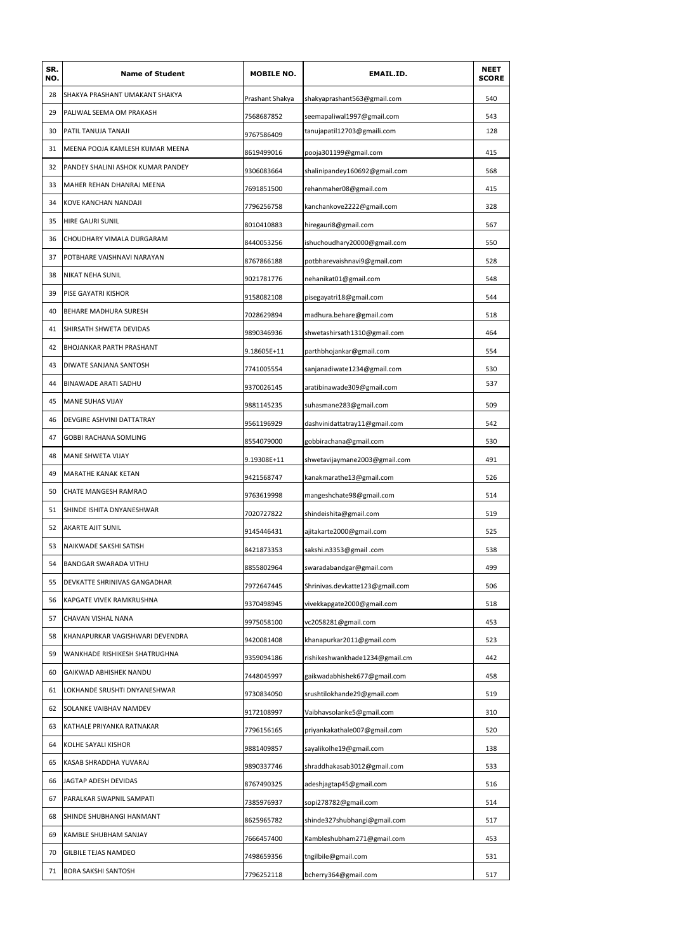| SR.<br>NO. | <b>Name of Student</b>            | <b>MOBILE NO.</b> | EMAIL.ID.                       | <b>NEET</b><br><b>SCORE</b> |
|------------|-----------------------------------|-------------------|---------------------------------|-----------------------------|
| 28         | SHAKYA PRASHANT UMAKANT SHAKYA    | Prashant Shakya   | shakyaprashant563@gmail.com     | 540                         |
| 29         | PALIWAL SEEMA OM PRAKASH          | 7568687852        | seemapaliwal1997@gmail.com      | 543                         |
| 30         | PATIL TANUJA TANAJI               | 9767586409        | tanujapatil12703@gmaili.com     | 128                         |
| 31         | MEENA POOJA KAMLESH KUMAR MEENA   | 8619499016        | pooja301199@gmail.com           | 415                         |
| 32         | PANDEY SHALINI ASHOK KUMAR PANDEY | 9306083664        | shalinipandey160692@gmail.com   | 568                         |
| 33         | MAHER REHAN DHANRAJ MEENA         | 7691851500        | rehanmaher08@gmail.com          | 415                         |
| 34         | KOVE KANCHAN NANDAJI              | 7796256758        | kanchankove2222@gmail.com       | 328                         |
| 35         | HIRE GAURI SUNIL                  | 8010410883        | hiregauri8@gmail.com            | 567                         |
| 36         | CHOUDHARY VIMALA DURGARAM         | 8440053256        | ishuchoudhary20000@gmail.com    | 550                         |
| 37         | POTBHARE VAISHNAVI NARAYAN        | 8767866188        | potbharevaishnavi9@gmail.com    | 528                         |
| 38         | NIKAT NEHA SUNIL                  | 9021781776        | nehanikat01@gmail.com           | 548                         |
| 39         | PISE GAYATRI KISHOR               | 9158082108        | pisegayatri18@gmail.com         | 544                         |
| 40         | BEHARE MADHURA SURESH             | 7028629894        | madhura.behare@gmail.com        | 518                         |
| 41         | SHIRSATH SHWETA DEVIDAS           | 9890346936        | shwetashirsath1310@gmail.com    | 464                         |
| 42         | BHOJANKAR PARTH PRASHANT          | 9.18605E+11       | parthbhojankar@gmail.com        | 554                         |
| 43         | DIWATE SANJANA SANTOSH            | 7741005554        | sanjanadiwate1234@gmail.com     | 530                         |
| 44         | BINAWADE ARATI SADHU              | 9370026145        | aratibinawade309@gmail.com      | 537                         |
| 45         | MANE SUHAS VIJAY                  | 9881145235        | suhasmane283@gmail.com          | 509                         |
| 46         | DEVGIRE ASHVINI DATTATRAY         | 9561196929        | dashvinidattatray11@gmail.com   | 542                         |
| 47         | GOBBI RACHANA SOMLING             | 8554079000        | gobbirachana@gmail.com          | 530                         |
| 48         | MANE SHWETA VIJAY                 | 9.19308E+11       | shwetavijaymane2003@gmail.com   | 491                         |
| 49         | MARATHE KANAK KETAN               | 9421568747        | kanakmarathe13@gmail.com        | 526                         |
| 50         | CHATE MANGESH RAMRAO              | 9763619998        | mangeshchate98@gmail.com        | 514                         |
| 51         | SHINDE ISHITA DNYANESHWAR         | 7020727822        | shindeishita@gmail.com          | 519                         |
| 52         | AKARTE AJIT SUNIL                 | 9145446431        | ajitakarte2000@gmail.com        | 525                         |
| 53         | NAIKWADE SAKSHI SATISH            | 8421873353        | .com. sakshi.n3353@gmail        | 538                         |
| 54         | <b>BANDGAR SWARADA VITHU</b>      | 8855802964        | swaradabandgar@gmail.com        | 499                         |
| 55         | DEVKATTE SHRINIVAS GANGADHAR      | 7972647445        | Shrinivas.devkatte123@gmail.com | 506                         |
| 56         | KAPGATE VIVEK RAMKRUSHNA          | 9370498945        | vivekkapgate2000@gmail.com      | 518                         |
| 57         | CHAVAN VISHAL NANA                | 9975058100        | vc2058281@gmail.com             | 453                         |
| 58         | KHANAPURKAR VAGISHWARI DEVENDRA   | 9420081408        | khanapurkar2011@gmail.com       | 523                         |
| 59         | WANKHADE RISHIKESH SHATRUGHNA     | 9359094186        | rishikeshwankhade1234@gmail.cm  | 442                         |
| 60         | GAIKWAD ABHISHEK NANDU            | 7448045997        | gaikwadabhishek677@gmail.com    | 458                         |
| 61         | LOKHANDE SRUSHTI DNYANESHWAR      | 9730834050        | srushtilokhande29@gmail.com     | 519                         |
| 62         | SOLANKE VAIBHAV NAMDEV            | 9172108997        | Vaibhavsolanke5@gmail.com       | 310                         |
| 63         | KATHALE PRIYANKA RATNAKAR         | 7796156165        | priyankakathale007@gmail.com    | 520                         |
| 64         | KOLHE SAYALI KISHOR               | 9881409857        | sayalikolhe19@gmail.com         | 138                         |
| 65         | KASAB SHRADDHA YUVARAJ            | 9890337746        | shraddhakasab3012@gmail.com     | 533                         |
| 66         | JAGTAP ADESH DEVIDAS              | 8767490325        | adeshjagtap45@gmail.com         | 516                         |
| 67         | PARALKAR SWAPNIL SAMPATI          | 7385976937        | sopi278782@gmail.com            | 514                         |
| 68         | SHINDE SHUBHANGI HANMANT          | 8625965782        | shinde327shubhangi@gmail.com    | 517                         |
| 69         | KAMBLE SHUBHAM SANJAY             | 7666457400        | Kambleshubham271@gmail.com      | 453                         |
| 70         | GILBILE TEJAS NAMDEO              | 7498659356        | tngilbile@gmail.com             | 531                         |
| 71         | BORA SAKSHI SANTOSH               | 7796252118        | bcherry364@gmail.com            | 517                         |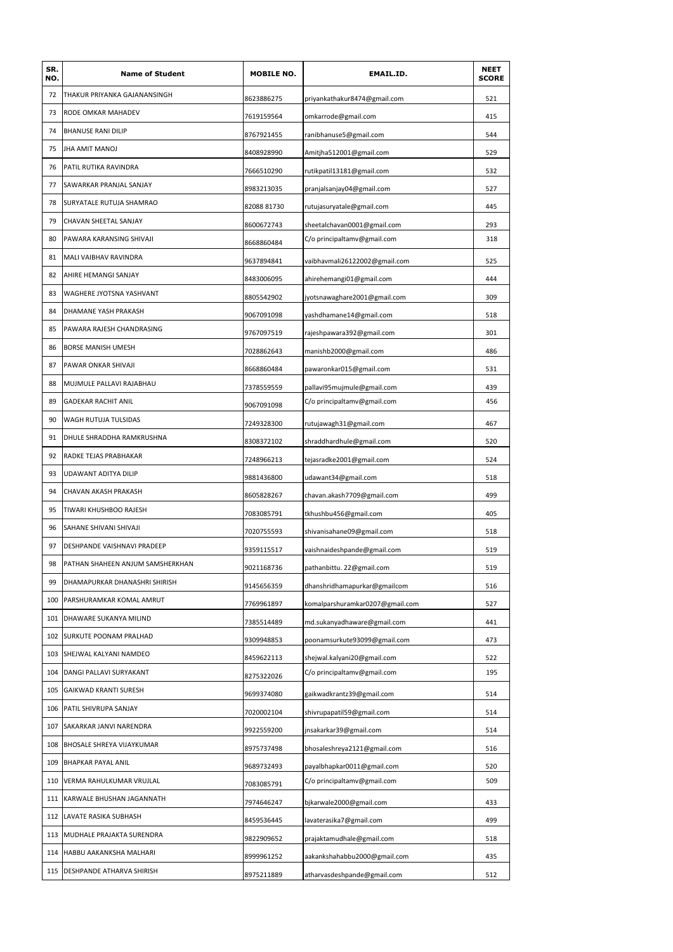| 72<br>THAKUR PRIYANKA GAJANANSINGH<br>521<br>8623886275<br>priyankathakur8474@gmail.com<br>73<br>RODE OMKAR MAHADEV<br>415<br>7619159564<br>omkarrode@gmail.com<br>74<br><b>BHANUSE RANI DILIP</b><br>8767921455<br>ranibhanuse5@gmail.com<br>544<br>75<br>JHA AMIT MANOJ<br>529<br>8408928990<br>Amitjha512001@gmail.com<br>76<br>PATIL RUTIKA RAVINDRA<br>7666510290<br>rutikpatil13181@gmail.com<br>532<br>77<br>SAWARKAR PRANJAL SANJAY<br>pranjalsanjay04@gmail.com<br>527<br>8983213035<br>78<br>SURYATALE RUTUJA SHAMRAO<br>8208881730<br>rutujasuryatale@gmail.com<br>445<br>79<br>CHAVAN SHEETAL SANJAY<br>sheetalchavan0001@gmail.com<br>293<br>8600672743<br>80<br>318<br>PAWARA KARANSING SHIVAJI<br>C/o principaltamv@gmail.com<br>8668860484<br>81<br>MALI VAIBHAV RAVINDRA<br>9637894841<br>vaibhavmali26122002@gmail.com<br>525<br>82<br>AHIRE HEMANGI SANJAY<br>ahirehemangi01@gmail.com<br>444<br>8483006095<br>83<br>WAGHERE JYOTSNA YASHVANT<br>jyotsnawaghare2001@gmail.com<br>309<br>8805542902<br>84<br>DHAMANE YASH PRAKASH<br>518<br>9067091098<br>yashdhamane14@gmail.com<br>85<br>PAWARA RAJESH CHANDRASING<br>rajeshpawara392@gmail.com<br>301<br>9767097519<br>86<br>BORSE MANISH UMESH<br>manishb2000@gmail.com<br>486<br>7028862643<br>87<br>PAWAR ONKAR SHIVAJI<br>531<br>8668860484<br>pawaronkar015@gmail.com<br>88<br>MUJMULE PALLAVI RAJABHAU<br>pallavi95mujmule@gmail.com<br>439<br>7378559559<br>89<br>456<br><b>GADEKAR RACHIT ANIL</b><br>C/o principaltamv@gmail.com<br>9067091098<br>90<br>WAGH RUTUJA TULSIDAS<br>467<br>7249328300<br>rutujawagh31@gmail.com<br>91<br>DHULE SHRADDHA RAMKRUSHNA<br>shraddhardhule@gmail.com<br>520<br>8308372102<br>92<br>RADKE TEJAS PRABHAKAR<br>524<br>7248966213<br>tejasradke2001@gmail.com<br>93<br>UDAWANT ADITYA DILIP<br>518<br>9881436800<br>udawant34@gmail.com<br>94<br>CHAVAN AKASH PRAKASH<br>chavan.akash7709@gmail.com<br>499<br>8605828267<br>95<br>TIWARI KHUSHBOO RAJESH<br>tkhushbu456@gmail.com<br>405<br>7083085791<br>96<br>SAHANE SHIVANI SHIVAJI<br>518<br>7020755593<br>shivanisahane09@gmail.com<br>97<br>DESHPANDE VAISHNAVI PRADEEP<br>519<br>9359115517<br>vaishnaideshpande@gmail.com<br>98<br>PATHAN SHAHEEN ANJUM SAMSHERKHAN<br>519<br>9021168736<br>pathanbittu. 22@gmail.com<br>99<br>DHAMAPURKAR DHANASHRI SHIRISH<br>9145656359<br>dhanshridhamapurkar@gmailcom<br>516<br>100<br>PARSHURAMKAR KOMAL AMRUT<br>komalparshuramkar0207@gmail.com<br>527<br>7769961897<br>101<br>DHAWARE SUKANYA MILIND<br>md.sukanyadhaware@gmail.com<br>441<br>7385514489<br>102<br>SURKUTE POONAM PRALHAD<br>9309948853<br>poonamsurkute93099@gmail.com<br>473<br>103<br>SHEJWAL KALYANI NAMDEO<br>shejwal.kalyani20@gmail.com<br>522<br>8459622113<br>104<br>DANGI PALLAVI SURYAKANT<br>C/o principaltamv@gmail.com<br>195<br>8275322026<br>105<br>GAIKWAD KRANTI SURESH<br>gaikwadkrantz39@gmail.com<br>514<br>9699374080<br>106<br>PATIL SHIVRUPA SANJAY<br>shivrupapatil59@gmail.com<br>514<br>7020002104<br>107<br>SAKARKAR JANVI NARENDRA<br>jnsakarkar39@gmail.com<br>514<br>9922559200<br>108<br>BHOSALE SHREYA VIJAYKUMAR<br>bhosaleshreya2121@gmail.com<br>516<br>8975737498<br>109<br>BHAPKAR PAYAL ANIL<br>9689732493<br>payalbhapkar0011@gmail.com<br>520<br>110<br>VERMA RAHULKUMAR VRUJLAL<br>C/o principaltamv@gmail.com<br>509<br>7083085791<br>111<br>KARWALE BHUSHAN JAGANNATH<br>bjkarwale2000@gmail.com<br>433<br>7974646247<br>112<br>LAVATE RASIKA SUBHASH<br>499<br>8459536445<br>lavaterasika7@gmail.com<br>113<br>MUDHALE PRAJAKTA SURENDRA<br>9822909652<br>prajaktamudhale@gmail.com<br>518<br>114<br>HABBU AAKANKSHA MALHARI<br>8999961252<br>aakankshahabbu2000@gmail.com<br>435<br>115<br>DESHPANDE ATHARVA SHIRISH<br>8975211889<br>atharvasdeshpande@gmail.com<br>512 | SR.<br>NO. | <b>Name of Student</b> | <b>MOBILE NO.</b> | EMAIL.ID. | <b>NEET</b><br><b>SCORE</b> |
|---------------------------------------------------------------------------------------------------------------------------------------------------------------------------------------------------------------------------------------------------------------------------------------------------------------------------------------------------------------------------------------------------------------------------------------------------------------------------------------------------------------------------------------------------------------------------------------------------------------------------------------------------------------------------------------------------------------------------------------------------------------------------------------------------------------------------------------------------------------------------------------------------------------------------------------------------------------------------------------------------------------------------------------------------------------------------------------------------------------------------------------------------------------------------------------------------------------------------------------------------------------------------------------------------------------------------------------------------------------------------------------------------------------------------------------------------------------------------------------------------------------------------------------------------------------------------------------------------------------------------------------------------------------------------------------------------------------------------------------------------------------------------------------------------------------------------------------------------------------------------------------------------------------------------------------------------------------------------------------------------------------------------------------------------------------------------------------------------------------------------------------------------------------------------------------------------------------------------------------------------------------------------------------------------------------------------------------------------------------------------------------------------------------------------------------------------------------------------------------------------------------------------------------------------------------------------------------------------------------------------------------------------------------------------------------------------------------------------------------------------------------------------------------------------------------------------------------------------------------------------------------------------------------------------------------------------------------------------------------------------------------------------------------------------------------------------------------------------------------------------------------------------------------------------------------------------------------------------------------------------------------------------------------------------------------------------------------------------------------------------------------------------------------------------------------------------------------------------------------------------------------------------------------------------------------------------------------------------------------------------------------------------------------------------------------------------------------------------------------------------------------------------------------------------------|------------|------------------------|-------------------|-----------|-----------------------------|
|                                                                                                                                                                                                                                                                                                                                                                                                                                                                                                                                                                                                                                                                                                                                                                                                                                                                                                                                                                                                                                                                                                                                                                                                                                                                                                                                                                                                                                                                                                                                                                                                                                                                                                                                                                                                                                                                                                                                                                                                                                                                                                                                                                                                                                                                                                                                                                                                                                                                                                                                                                                                                                                                                                                                                                                                                                                                                                                                                                                                                                                                                                                                                                                                                                                                                                                                                                                                                                                                                                                                                                                                                                                                                                                                                                                                         |            |                        |                   |           |                             |
|                                                                                                                                                                                                                                                                                                                                                                                                                                                                                                                                                                                                                                                                                                                                                                                                                                                                                                                                                                                                                                                                                                                                                                                                                                                                                                                                                                                                                                                                                                                                                                                                                                                                                                                                                                                                                                                                                                                                                                                                                                                                                                                                                                                                                                                                                                                                                                                                                                                                                                                                                                                                                                                                                                                                                                                                                                                                                                                                                                                                                                                                                                                                                                                                                                                                                                                                                                                                                                                                                                                                                                                                                                                                                                                                                                                                         |            |                        |                   |           |                             |
|                                                                                                                                                                                                                                                                                                                                                                                                                                                                                                                                                                                                                                                                                                                                                                                                                                                                                                                                                                                                                                                                                                                                                                                                                                                                                                                                                                                                                                                                                                                                                                                                                                                                                                                                                                                                                                                                                                                                                                                                                                                                                                                                                                                                                                                                                                                                                                                                                                                                                                                                                                                                                                                                                                                                                                                                                                                                                                                                                                                                                                                                                                                                                                                                                                                                                                                                                                                                                                                                                                                                                                                                                                                                                                                                                                                                         |            |                        |                   |           |                             |
|                                                                                                                                                                                                                                                                                                                                                                                                                                                                                                                                                                                                                                                                                                                                                                                                                                                                                                                                                                                                                                                                                                                                                                                                                                                                                                                                                                                                                                                                                                                                                                                                                                                                                                                                                                                                                                                                                                                                                                                                                                                                                                                                                                                                                                                                                                                                                                                                                                                                                                                                                                                                                                                                                                                                                                                                                                                                                                                                                                                                                                                                                                                                                                                                                                                                                                                                                                                                                                                                                                                                                                                                                                                                                                                                                                                                         |            |                        |                   |           |                             |
|                                                                                                                                                                                                                                                                                                                                                                                                                                                                                                                                                                                                                                                                                                                                                                                                                                                                                                                                                                                                                                                                                                                                                                                                                                                                                                                                                                                                                                                                                                                                                                                                                                                                                                                                                                                                                                                                                                                                                                                                                                                                                                                                                                                                                                                                                                                                                                                                                                                                                                                                                                                                                                                                                                                                                                                                                                                                                                                                                                                                                                                                                                                                                                                                                                                                                                                                                                                                                                                                                                                                                                                                                                                                                                                                                                                                         |            |                        |                   |           |                             |
|                                                                                                                                                                                                                                                                                                                                                                                                                                                                                                                                                                                                                                                                                                                                                                                                                                                                                                                                                                                                                                                                                                                                                                                                                                                                                                                                                                                                                                                                                                                                                                                                                                                                                                                                                                                                                                                                                                                                                                                                                                                                                                                                                                                                                                                                                                                                                                                                                                                                                                                                                                                                                                                                                                                                                                                                                                                                                                                                                                                                                                                                                                                                                                                                                                                                                                                                                                                                                                                                                                                                                                                                                                                                                                                                                                                                         |            |                        |                   |           |                             |
|                                                                                                                                                                                                                                                                                                                                                                                                                                                                                                                                                                                                                                                                                                                                                                                                                                                                                                                                                                                                                                                                                                                                                                                                                                                                                                                                                                                                                                                                                                                                                                                                                                                                                                                                                                                                                                                                                                                                                                                                                                                                                                                                                                                                                                                                                                                                                                                                                                                                                                                                                                                                                                                                                                                                                                                                                                                                                                                                                                                                                                                                                                                                                                                                                                                                                                                                                                                                                                                                                                                                                                                                                                                                                                                                                                                                         |            |                        |                   |           |                             |
|                                                                                                                                                                                                                                                                                                                                                                                                                                                                                                                                                                                                                                                                                                                                                                                                                                                                                                                                                                                                                                                                                                                                                                                                                                                                                                                                                                                                                                                                                                                                                                                                                                                                                                                                                                                                                                                                                                                                                                                                                                                                                                                                                                                                                                                                                                                                                                                                                                                                                                                                                                                                                                                                                                                                                                                                                                                                                                                                                                                                                                                                                                                                                                                                                                                                                                                                                                                                                                                                                                                                                                                                                                                                                                                                                                                                         |            |                        |                   |           |                             |
|                                                                                                                                                                                                                                                                                                                                                                                                                                                                                                                                                                                                                                                                                                                                                                                                                                                                                                                                                                                                                                                                                                                                                                                                                                                                                                                                                                                                                                                                                                                                                                                                                                                                                                                                                                                                                                                                                                                                                                                                                                                                                                                                                                                                                                                                                                                                                                                                                                                                                                                                                                                                                                                                                                                                                                                                                                                                                                                                                                                                                                                                                                                                                                                                                                                                                                                                                                                                                                                                                                                                                                                                                                                                                                                                                                                                         |            |                        |                   |           |                             |
|                                                                                                                                                                                                                                                                                                                                                                                                                                                                                                                                                                                                                                                                                                                                                                                                                                                                                                                                                                                                                                                                                                                                                                                                                                                                                                                                                                                                                                                                                                                                                                                                                                                                                                                                                                                                                                                                                                                                                                                                                                                                                                                                                                                                                                                                                                                                                                                                                                                                                                                                                                                                                                                                                                                                                                                                                                                                                                                                                                                                                                                                                                                                                                                                                                                                                                                                                                                                                                                                                                                                                                                                                                                                                                                                                                                                         |            |                        |                   |           |                             |
|                                                                                                                                                                                                                                                                                                                                                                                                                                                                                                                                                                                                                                                                                                                                                                                                                                                                                                                                                                                                                                                                                                                                                                                                                                                                                                                                                                                                                                                                                                                                                                                                                                                                                                                                                                                                                                                                                                                                                                                                                                                                                                                                                                                                                                                                                                                                                                                                                                                                                                                                                                                                                                                                                                                                                                                                                                                                                                                                                                                                                                                                                                                                                                                                                                                                                                                                                                                                                                                                                                                                                                                                                                                                                                                                                                                                         |            |                        |                   |           |                             |
|                                                                                                                                                                                                                                                                                                                                                                                                                                                                                                                                                                                                                                                                                                                                                                                                                                                                                                                                                                                                                                                                                                                                                                                                                                                                                                                                                                                                                                                                                                                                                                                                                                                                                                                                                                                                                                                                                                                                                                                                                                                                                                                                                                                                                                                                                                                                                                                                                                                                                                                                                                                                                                                                                                                                                                                                                                                                                                                                                                                                                                                                                                                                                                                                                                                                                                                                                                                                                                                                                                                                                                                                                                                                                                                                                                                                         |            |                        |                   |           |                             |
|                                                                                                                                                                                                                                                                                                                                                                                                                                                                                                                                                                                                                                                                                                                                                                                                                                                                                                                                                                                                                                                                                                                                                                                                                                                                                                                                                                                                                                                                                                                                                                                                                                                                                                                                                                                                                                                                                                                                                                                                                                                                                                                                                                                                                                                                                                                                                                                                                                                                                                                                                                                                                                                                                                                                                                                                                                                                                                                                                                                                                                                                                                                                                                                                                                                                                                                                                                                                                                                                                                                                                                                                                                                                                                                                                                                                         |            |                        |                   |           |                             |
|                                                                                                                                                                                                                                                                                                                                                                                                                                                                                                                                                                                                                                                                                                                                                                                                                                                                                                                                                                                                                                                                                                                                                                                                                                                                                                                                                                                                                                                                                                                                                                                                                                                                                                                                                                                                                                                                                                                                                                                                                                                                                                                                                                                                                                                                                                                                                                                                                                                                                                                                                                                                                                                                                                                                                                                                                                                                                                                                                                                                                                                                                                                                                                                                                                                                                                                                                                                                                                                                                                                                                                                                                                                                                                                                                                                                         |            |                        |                   |           |                             |
|                                                                                                                                                                                                                                                                                                                                                                                                                                                                                                                                                                                                                                                                                                                                                                                                                                                                                                                                                                                                                                                                                                                                                                                                                                                                                                                                                                                                                                                                                                                                                                                                                                                                                                                                                                                                                                                                                                                                                                                                                                                                                                                                                                                                                                                                                                                                                                                                                                                                                                                                                                                                                                                                                                                                                                                                                                                                                                                                                                                                                                                                                                                                                                                                                                                                                                                                                                                                                                                                                                                                                                                                                                                                                                                                                                                                         |            |                        |                   |           |                             |
|                                                                                                                                                                                                                                                                                                                                                                                                                                                                                                                                                                                                                                                                                                                                                                                                                                                                                                                                                                                                                                                                                                                                                                                                                                                                                                                                                                                                                                                                                                                                                                                                                                                                                                                                                                                                                                                                                                                                                                                                                                                                                                                                                                                                                                                                                                                                                                                                                                                                                                                                                                                                                                                                                                                                                                                                                                                                                                                                                                                                                                                                                                                                                                                                                                                                                                                                                                                                                                                                                                                                                                                                                                                                                                                                                                                                         |            |                        |                   |           |                             |
|                                                                                                                                                                                                                                                                                                                                                                                                                                                                                                                                                                                                                                                                                                                                                                                                                                                                                                                                                                                                                                                                                                                                                                                                                                                                                                                                                                                                                                                                                                                                                                                                                                                                                                                                                                                                                                                                                                                                                                                                                                                                                                                                                                                                                                                                                                                                                                                                                                                                                                                                                                                                                                                                                                                                                                                                                                                                                                                                                                                                                                                                                                                                                                                                                                                                                                                                                                                                                                                                                                                                                                                                                                                                                                                                                                                                         |            |                        |                   |           |                             |
|                                                                                                                                                                                                                                                                                                                                                                                                                                                                                                                                                                                                                                                                                                                                                                                                                                                                                                                                                                                                                                                                                                                                                                                                                                                                                                                                                                                                                                                                                                                                                                                                                                                                                                                                                                                                                                                                                                                                                                                                                                                                                                                                                                                                                                                                                                                                                                                                                                                                                                                                                                                                                                                                                                                                                                                                                                                                                                                                                                                                                                                                                                                                                                                                                                                                                                                                                                                                                                                                                                                                                                                                                                                                                                                                                                                                         |            |                        |                   |           |                             |
|                                                                                                                                                                                                                                                                                                                                                                                                                                                                                                                                                                                                                                                                                                                                                                                                                                                                                                                                                                                                                                                                                                                                                                                                                                                                                                                                                                                                                                                                                                                                                                                                                                                                                                                                                                                                                                                                                                                                                                                                                                                                                                                                                                                                                                                                                                                                                                                                                                                                                                                                                                                                                                                                                                                                                                                                                                                                                                                                                                                                                                                                                                                                                                                                                                                                                                                                                                                                                                                                                                                                                                                                                                                                                                                                                                                                         |            |                        |                   |           |                             |
|                                                                                                                                                                                                                                                                                                                                                                                                                                                                                                                                                                                                                                                                                                                                                                                                                                                                                                                                                                                                                                                                                                                                                                                                                                                                                                                                                                                                                                                                                                                                                                                                                                                                                                                                                                                                                                                                                                                                                                                                                                                                                                                                                                                                                                                                                                                                                                                                                                                                                                                                                                                                                                                                                                                                                                                                                                                                                                                                                                                                                                                                                                                                                                                                                                                                                                                                                                                                                                                                                                                                                                                                                                                                                                                                                                                                         |            |                        |                   |           |                             |
|                                                                                                                                                                                                                                                                                                                                                                                                                                                                                                                                                                                                                                                                                                                                                                                                                                                                                                                                                                                                                                                                                                                                                                                                                                                                                                                                                                                                                                                                                                                                                                                                                                                                                                                                                                                                                                                                                                                                                                                                                                                                                                                                                                                                                                                                                                                                                                                                                                                                                                                                                                                                                                                                                                                                                                                                                                                                                                                                                                                                                                                                                                                                                                                                                                                                                                                                                                                                                                                                                                                                                                                                                                                                                                                                                                                                         |            |                        |                   |           |                             |
|                                                                                                                                                                                                                                                                                                                                                                                                                                                                                                                                                                                                                                                                                                                                                                                                                                                                                                                                                                                                                                                                                                                                                                                                                                                                                                                                                                                                                                                                                                                                                                                                                                                                                                                                                                                                                                                                                                                                                                                                                                                                                                                                                                                                                                                                                                                                                                                                                                                                                                                                                                                                                                                                                                                                                                                                                                                                                                                                                                                                                                                                                                                                                                                                                                                                                                                                                                                                                                                                                                                                                                                                                                                                                                                                                                                                         |            |                        |                   |           |                             |
|                                                                                                                                                                                                                                                                                                                                                                                                                                                                                                                                                                                                                                                                                                                                                                                                                                                                                                                                                                                                                                                                                                                                                                                                                                                                                                                                                                                                                                                                                                                                                                                                                                                                                                                                                                                                                                                                                                                                                                                                                                                                                                                                                                                                                                                                                                                                                                                                                                                                                                                                                                                                                                                                                                                                                                                                                                                                                                                                                                                                                                                                                                                                                                                                                                                                                                                                                                                                                                                                                                                                                                                                                                                                                                                                                                                                         |            |                        |                   |           |                             |
|                                                                                                                                                                                                                                                                                                                                                                                                                                                                                                                                                                                                                                                                                                                                                                                                                                                                                                                                                                                                                                                                                                                                                                                                                                                                                                                                                                                                                                                                                                                                                                                                                                                                                                                                                                                                                                                                                                                                                                                                                                                                                                                                                                                                                                                                                                                                                                                                                                                                                                                                                                                                                                                                                                                                                                                                                                                                                                                                                                                                                                                                                                                                                                                                                                                                                                                                                                                                                                                                                                                                                                                                                                                                                                                                                                                                         |            |                        |                   |           |                             |
|                                                                                                                                                                                                                                                                                                                                                                                                                                                                                                                                                                                                                                                                                                                                                                                                                                                                                                                                                                                                                                                                                                                                                                                                                                                                                                                                                                                                                                                                                                                                                                                                                                                                                                                                                                                                                                                                                                                                                                                                                                                                                                                                                                                                                                                                                                                                                                                                                                                                                                                                                                                                                                                                                                                                                                                                                                                                                                                                                                                                                                                                                                                                                                                                                                                                                                                                                                                                                                                                                                                                                                                                                                                                                                                                                                                                         |            |                        |                   |           |                             |
|                                                                                                                                                                                                                                                                                                                                                                                                                                                                                                                                                                                                                                                                                                                                                                                                                                                                                                                                                                                                                                                                                                                                                                                                                                                                                                                                                                                                                                                                                                                                                                                                                                                                                                                                                                                                                                                                                                                                                                                                                                                                                                                                                                                                                                                                                                                                                                                                                                                                                                                                                                                                                                                                                                                                                                                                                                                                                                                                                                                                                                                                                                                                                                                                                                                                                                                                                                                                                                                                                                                                                                                                                                                                                                                                                                                                         |            |                        |                   |           |                             |
|                                                                                                                                                                                                                                                                                                                                                                                                                                                                                                                                                                                                                                                                                                                                                                                                                                                                                                                                                                                                                                                                                                                                                                                                                                                                                                                                                                                                                                                                                                                                                                                                                                                                                                                                                                                                                                                                                                                                                                                                                                                                                                                                                                                                                                                                                                                                                                                                                                                                                                                                                                                                                                                                                                                                                                                                                                                                                                                                                                                                                                                                                                                                                                                                                                                                                                                                                                                                                                                                                                                                                                                                                                                                                                                                                                                                         |            |                        |                   |           |                             |
|                                                                                                                                                                                                                                                                                                                                                                                                                                                                                                                                                                                                                                                                                                                                                                                                                                                                                                                                                                                                                                                                                                                                                                                                                                                                                                                                                                                                                                                                                                                                                                                                                                                                                                                                                                                                                                                                                                                                                                                                                                                                                                                                                                                                                                                                                                                                                                                                                                                                                                                                                                                                                                                                                                                                                                                                                                                                                                                                                                                                                                                                                                                                                                                                                                                                                                                                                                                                                                                                                                                                                                                                                                                                                                                                                                                                         |            |                        |                   |           |                             |
|                                                                                                                                                                                                                                                                                                                                                                                                                                                                                                                                                                                                                                                                                                                                                                                                                                                                                                                                                                                                                                                                                                                                                                                                                                                                                                                                                                                                                                                                                                                                                                                                                                                                                                                                                                                                                                                                                                                                                                                                                                                                                                                                                                                                                                                                                                                                                                                                                                                                                                                                                                                                                                                                                                                                                                                                                                                                                                                                                                                                                                                                                                                                                                                                                                                                                                                                                                                                                                                                                                                                                                                                                                                                                                                                                                                                         |            |                        |                   |           |                             |
|                                                                                                                                                                                                                                                                                                                                                                                                                                                                                                                                                                                                                                                                                                                                                                                                                                                                                                                                                                                                                                                                                                                                                                                                                                                                                                                                                                                                                                                                                                                                                                                                                                                                                                                                                                                                                                                                                                                                                                                                                                                                                                                                                                                                                                                                                                                                                                                                                                                                                                                                                                                                                                                                                                                                                                                                                                                                                                                                                                                                                                                                                                                                                                                                                                                                                                                                                                                                                                                                                                                                                                                                                                                                                                                                                                                                         |            |                        |                   |           |                             |
|                                                                                                                                                                                                                                                                                                                                                                                                                                                                                                                                                                                                                                                                                                                                                                                                                                                                                                                                                                                                                                                                                                                                                                                                                                                                                                                                                                                                                                                                                                                                                                                                                                                                                                                                                                                                                                                                                                                                                                                                                                                                                                                                                                                                                                                                                                                                                                                                                                                                                                                                                                                                                                                                                                                                                                                                                                                                                                                                                                                                                                                                                                                                                                                                                                                                                                                                                                                                                                                                                                                                                                                                                                                                                                                                                                                                         |            |                        |                   |           |                             |
|                                                                                                                                                                                                                                                                                                                                                                                                                                                                                                                                                                                                                                                                                                                                                                                                                                                                                                                                                                                                                                                                                                                                                                                                                                                                                                                                                                                                                                                                                                                                                                                                                                                                                                                                                                                                                                                                                                                                                                                                                                                                                                                                                                                                                                                                                                                                                                                                                                                                                                                                                                                                                                                                                                                                                                                                                                                                                                                                                                                                                                                                                                                                                                                                                                                                                                                                                                                                                                                                                                                                                                                                                                                                                                                                                                                                         |            |                        |                   |           |                             |
|                                                                                                                                                                                                                                                                                                                                                                                                                                                                                                                                                                                                                                                                                                                                                                                                                                                                                                                                                                                                                                                                                                                                                                                                                                                                                                                                                                                                                                                                                                                                                                                                                                                                                                                                                                                                                                                                                                                                                                                                                                                                                                                                                                                                                                                                                                                                                                                                                                                                                                                                                                                                                                                                                                                                                                                                                                                                                                                                                                                                                                                                                                                                                                                                                                                                                                                                                                                                                                                                                                                                                                                                                                                                                                                                                                                                         |            |                        |                   |           |                             |
|                                                                                                                                                                                                                                                                                                                                                                                                                                                                                                                                                                                                                                                                                                                                                                                                                                                                                                                                                                                                                                                                                                                                                                                                                                                                                                                                                                                                                                                                                                                                                                                                                                                                                                                                                                                                                                                                                                                                                                                                                                                                                                                                                                                                                                                                                                                                                                                                                                                                                                                                                                                                                                                                                                                                                                                                                                                                                                                                                                                                                                                                                                                                                                                                                                                                                                                                                                                                                                                                                                                                                                                                                                                                                                                                                                                                         |            |                        |                   |           |                             |
|                                                                                                                                                                                                                                                                                                                                                                                                                                                                                                                                                                                                                                                                                                                                                                                                                                                                                                                                                                                                                                                                                                                                                                                                                                                                                                                                                                                                                                                                                                                                                                                                                                                                                                                                                                                                                                                                                                                                                                                                                                                                                                                                                                                                                                                                                                                                                                                                                                                                                                                                                                                                                                                                                                                                                                                                                                                                                                                                                                                                                                                                                                                                                                                                                                                                                                                                                                                                                                                                                                                                                                                                                                                                                                                                                                                                         |            |                        |                   |           |                             |
|                                                                                                                                                                                                                                                                                                                                                                                                                                                                                                                                                                                                                                                                                                                                                                                                                                                                                                                                                                                                                                                                                                                                                                                                                                                                                                                                                                                                                                                                                                                                                                                                                                                                                                                                                                                                                                                                                                                                                                                                                                                                                                                                                                                                                                                                                                                                                                                                                                                                                                                                                                                                                                                                                                                                                                                                                                                                                                                                                                                                                                                                                                                                                                                                                                                                                                                                                                                                                                                                                                                                                                                                                                                                                                                                                                                                         |            |                        |                   |           |                             |
|                                                                                                                                                                                                                                                                                                                                                                                                                                                                                                                                                                                                                                                                                                                                                                                                                                                                                                                                                                                                                                                                                                                                                                                                                                                                                                                                                                                                                                                                                                                                                                                                                                                                                                                                                                                                                                                                                                                                                                                                                                                                                                                                                                                                                                                                                                                                                                                                                                                                                                                                                                                                                                                                                                                                                                                                                                                                                                                                                                                                                                                                                                                                                                                                                                                                                                                                                                                                                                                                                                                                                                                                                                                                                                                                                                                                         |            |                        |                   |           |                             |
|                                                                                                                                                                                                                                                                                                                                                                                                                                                                                                                                                                                                                                                                                                                                                                                                                                                                                                                                                                                                                                                                                                                                                                                                                                                                                                                                                                                                                                                                                                                                                                                                                                                                                                                                                                                                                                                                                                                                                                                                                                                                                                                                                                                                                                                                                                                                                                                                                                                                                                                                                                                                                                                                                                                                                                                                                                                                                                                                                                                                                                                                                                                                                                                                                                                                                                                                                                                                                                                                                                                                                                                                                                                                                                                                                                                                         |            |                        |                   |           |                             |
|                                                                                                                                                                                                                                                                                                                                                                                                                                                                                                                                                                                                                                                                                                                                                                                                                                                                                                                                                                                                                                                                                                                                                                                                                                                                                                                                                                                                                                                                                                                                                                                                                                                                                                                                                                                                                                                                                                                                                                                                                                                                                                                                                                                                                                                                                                                                                                                                                                                                                                                                                                                                                                                                                                                                                                                                                                                                                                                                                                                                                                                                                                                                                                                                                                                                                                                                                                                                                                                                                                                                                                                                                                                                                                                                                                                                         |            |                        |                   |           |                             |
|                                                                                                                                                                                                                                                                                                                                                                                                                                                                                                                                                                                                                                                                                                                                                                                                                                                                                                                                                                                                                                                                                                                                                                                                                                                                                                                                                                                                                                                                                                                                                                                                                                                                                                                                                                                                                                                                                                                                                                                                                                                                                                                                                                                                                                                                                                                                                                                                                                                                                                                                                                                                                                                                                                                                                                                                                                                                                                                                                                                                                                                                                                                                                                                                                                                                                                                                                                                                                                                                                                                                                                                                                                                                                                                                                                                                         |            |                        |                   |           |                             |
|                                                                                                                                                                                                                                                                                                                                                                                                                                                                                                                                                                                                                                                                                                                                                                                                                                                                                                                                                                                                                                                                                                                                                                                                                                                                                                                                                                                                                                                                                                                                                                                                                                                                                                                                                                                                                                                                                                                                                                                                                                                                                                                                                                                                                                                                                                                                                                                                                                                                                                                                                                                                                                                                                                                                                                                                                                                                                                                                                                                                                                                                                                                                                                                                                                                                                                                                                                                                                                                                                                                                                                                                                                                                                                                                                                                                         |            |                        |                   |           |                             |
|                                                                                                                                                                                                                                                                                                                                                                                                                                                                                                                                                                                                                                                                                                                                                                                                                                                                                                                                                                                                                                                                                                                                                                                                                                                                                                                                                                                                                                                                                                                                                                                                                                                                                                                                                                                                                                                                                                                                                                                                                                                                                                                                                                                                                                                                                                                                                                                                                                                                                                                                                                                                                                                                                                                                                                                                                                                                                                                                                                                                                                                                                                                                                                                                                                                                                                                                                                                                                                                                                                                                                                                                                                                                                                                                                                                                         |            |                        |                   |           |                             |
|                                                                                                                                                                                                                                                                                                                                                                                                                                                                                                                                                                                                                                                                                                                                                                                                                                                                                                                                                                                                                                                                                                                                                                                                                                                                                                                                                                                                                                                                                                                                                                                                                                                                                                                                                                                                                                                                                                                                                                                                                                                                                                                                                                                                                                                                                                                                                                                                                                                                                                                                                                                                                                                                                                                                                                                                                                                                                                                                                                                                                                                                                                                                                                                                                                                                                                                                                                                                                                                                                                                                                                                                                                                                                                                                                                                                         |            |                        |                   |           |                             |
|                                                                                                                                                                                                                                                                                                                                                                                                                                                                                                                                                                                                                                                                                                                                                                                                                                                                                                                                                                                                                                                                                                                                                                                                                                                                                                                                                                                                                                                                                                                                                                                                                                                                                                                                                                                                                                                                                                                                                                                                                                                                                                                                                                                                                                                                                                                                                                                                                                                                                                                                                                                                                                                                                                                                                                                                                                                                                                                                                                                                                                                                                                                                                                                                                                                                                                                                                                                                                                                                                                                                                                                                                                                                                                                                                                                                         |            |                        |                   |           |                             |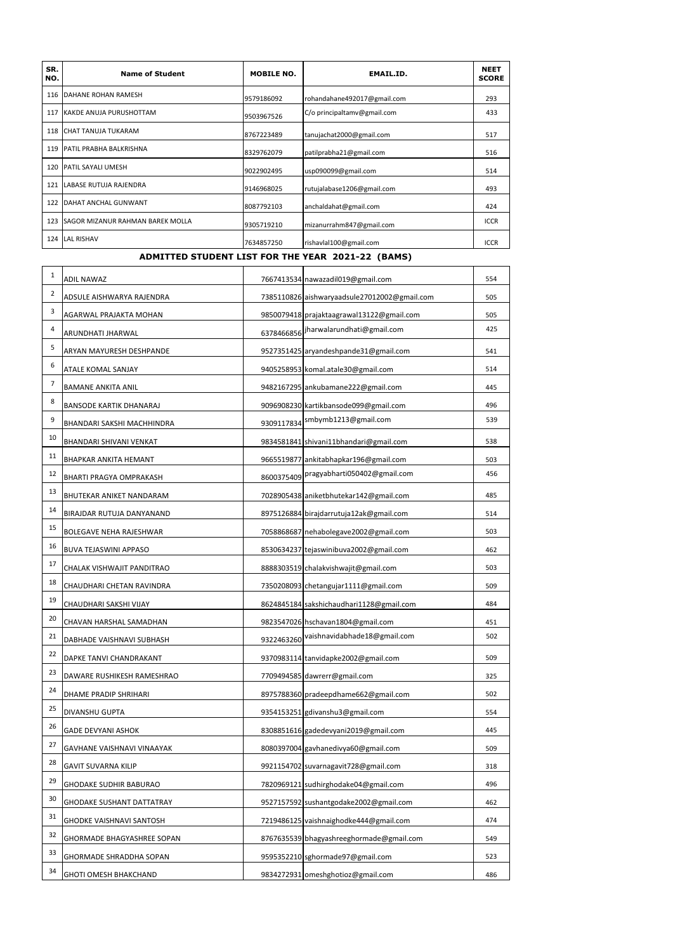| SR.<br>NO. | <b>Name of Student</b>                                             | <b>MOBILE NO.</b>                         | <b>EMAIL.ID.</b>            | <b>NEET</b><br><b>SCORE</b> |
|------------|--------------------------------------------------------------------|-------------------------------------------|-----------------------------|-----------------------------|
| 116        | <b>DAHANE ROHAN RAMESH</b>                                         | 9579186092                                | rohandahane492017@gmail.com | 293                         |
| 117        | KAKDE ANUJA PURUSHOTTAM                                            | C/o principaltamv@gmail.com<br>9503967526 |                             | 433                         |
| 118        | <b>CHAT TANUJA TUKARAM</b>                                         | 8767223489<br>tanujachat2000@gmail.com    |                             | 517                         |
| 119        | PATIL PRABHA BALKRISHNA                                            | 8329762079                                | patilprabha21@gmail.com     | 516                         |
| 120        | <b>PATIL SAYALI UMESH</b>                                          | 9022902495                                | usp090099@gmail.com         | 514                         |
| 121        | LABASE RUTUJA RAJENDRA                                             | rutujalabase1206@gmail.com<br>9146968025  |                             | 493                         |
| 122        | <b>DAHAT ANCHAL GUNWANT</b><br>8087792103<br>anchaldahat@gmail.com |                                           |                             | 424                         |
| 123        | <b>SAGOR MIZANUR RAHMAN BAREK MOLLA</b>                            | mizanurrahm847@gmail.com<br>9305719210    |                             | <b>ICCR</b>                 |
| 124        | <b>LAL RISHAV</b>                                                  | 7634857250                                | rishavlal100@gmail.com      | <b>ICCR</b>                 |

#### **ADMITTED STUDENT LIST FOR THE YEAR 2021-22 (BAMS)**

| $\mathbf 1$ | ADIL NAWAZ                       | 7667413534 nawazadil019@gmail.com |                                              | 554 |
|-------------|----------------------------------|-----------------------------------|----------------------------------------------|-----|
| 2           | ADSULE AISHWARYA RAJENDRA        |                                   | 7385110826 aishwaryaadsule27012002@gmail.com | 505 |
| 3           | AGARWAL PRAJAKTA MOHAN           |                                   | 9850079418 prajaktaagrawal13122@gmail.com    | 505 |
| 4           | ARUNDHATI JHARWAL                |                                   | 6378466856 Jharwalarundhati@gmail.com        | 425 |
| 5           | ARYAN MAYURESH DESHPANDE         |                                   | 9527351425 aryandeshpande31@gmail.com        | 541 |
| 6           | ATALE KOMAL SANJAY               |                                   | 9405258953 komal.atale30@gmail.com           | 514 |
| 7           | BAMANE ANKITA ANIL               |                                   | 9482167295 ankubamane222@gmail.com           | 445 |
| 8           | <b>BANSODE KARTIK DHANARAJ</b>   |                                   | 9096908230 kartikbansode099@gmail.com        | 496 |
| 9           | BHANDARI SAKSHI MACHHINDRA       | 9309117834                        | smbymb1213@gmail.com                         | 539 |
| 10          | BHANDARI SHIVANI VENKAT          |                                   | 9834581841 shivani11bhandari@gmail.com       | 538 |
| 11          | BHAPKAR ANKITA HEMANT            |                                   | 9665519877 ankitabhapkar196@gmail.com        | 503 |
| 12          | BHARTI PRAGYA OMPRAKASH          | 8600375409                        | pragyabharti050402@gmail.com                 | 456 |
| 13          | BHUTEKAR ANIKET NANDARAM         |                                   | 7028905438 aniketbhutekar142@gmail.com       | 485 |
| 14          | BIRAJDAR RUTUJA DANYANAND        |                                   | 8975126884 birajdarrutuja12ak@gmail.com      | 514 |
| 15          | BOLEGAVE NEHA RAJESHWAR          |                                   | 7058868687 nehabolegave2002@gmail.com        | 503 |
| 16          | BUVA TEJASWINI APPASO            |                                   | 8530634237 tejaswinibuva2002@gmail.com       | 462 |
| 17          | CHALAK VISHWAJIT PANDITRAO       |                                   | 8888303519 chalakvishwajit@gmail.com         | 503 |
| 18          | CHAUDHARI CHETAN RAVINDRA        |                                   | 7350208093 chetangujar1111@gmail.com         | 509 |
| 19          | CHAUDHARI SAKSHI VIJAY           |                                   | 8624845184 sakshichaudhari1128@gmail.com     | 484 |
| 20          | CHAVAN HARSHAL SAMADHAN          |                                   | 9823547026 hschavan1804@gmail.com            | 451 |
| 21          | DABHADE VAISHNAVI SUBHASH        | 9322463260                        | vaishnavidabhade18@gmail.com                 | 502 |
| 22          | DAPKE TANVI CHANDRAKANT          |                                   | 9370983114 tanvidapke2002@gmail.com          | 509 |
| 23          | DAWARE RUSHIKESH RAMESHRAO       |                                   | 7709494585 dawrerr@gmail.com                 | 325 |
| 24          | DHAME PRADIP SHRIHARI            |                                   | 8975788360 pradeepdhame662@gmail.com         | 502 |
| 25          | DIVANSHU GUPTA                   |                                   | 9354153251 gdivanshu3@gmail.com              | 554 |
| 26          | <b>GADE DEVYANI ASHOK</b>        |                                   | 8308851616 gadedevyani2019@gmail.com         | 445 |
| 27          | GAVHANE VAISHNAVI VINAAYAK       |                                   | 8080397004 gavhanedivya60@gmail.com          | 509 |
| 28          | <b>GAVIT SUVARNA KILIP</b>       |                                   | 9921154702 suvarnagavit728@gmail.com         | 318 |
| 29          | <b>GHODAKE SUDHIR BABURAO</b>    |                                   | 7820969121 sudhirghodake04@gmail.com         | 496 |
| 30          | <b>GHODAKE SUSHANT DATTATRAY</b> |                                   | 9527157592 sushantgodake2002@gmail.com       | 462 |
| 31          | <b>GHODKE VAISHNAVI SANTOSH</b>  |                                   | 7219486125 vaishnaighodke444@gmail.com       | 474 |
| 32          | GHORMADE BHAGYASHREE SOPAN       |                                   | 8767635539 bhagyashreeghormade@gmail.com     | 549 |
| 33          | GHORMADE SHRADDHA SOPAN          |                                   | 9595352210 sghormade97@gmail.com             | 523 |
| 34          | <b>GHOTI OMESH BHAKCHAND</b>     |                                   | 9834272931 omeshghotioz@gmail.com            | 486 |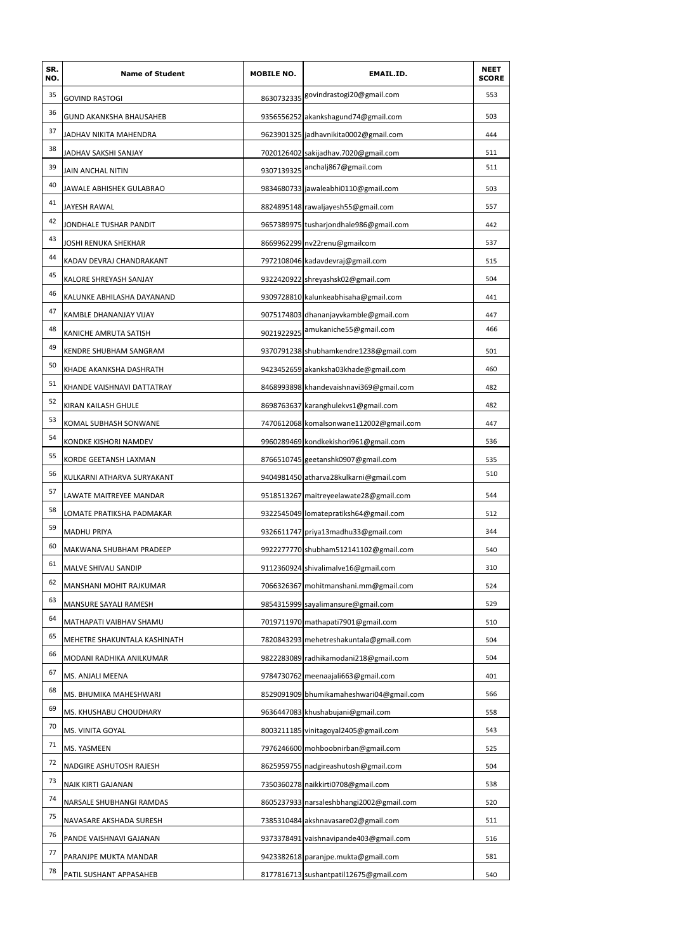| SR.<br>NO. | <b>Name of Student</b>       | <b>MOBILE NO.</b> | EMAIL.ID.                                | <b>NEET</b><br><b>SCORE</b> |
|------------|------------------------------|-------------------|------------------------------------------|-----------------------------|
| 35         | <b>GOVIND RASTOGI</b>        | 8630732335        | govindrastogi20@gmail.com                | 553                         |
| 36         | GUND AKANKSHA BHAUSAHEB      |                   | 9356556252 akankshagund74@gmail.com      | 503                         |
| 37         | JADHAV NIKITA MAHENDRA       |                   | 9623901325 jadhavnikita0002@gmail.com    | 444                         |
| 38         | JADHAV SAKSHI SANJAY         |                   | 7020126402 sakijadhav.7020@gmail.com     | 511                         |
| 39         | JAIN ANCHAL NITIN            |                   | 9307139325 anchalj867@gmail.com          | 511                         |
| 40         | JAWALE ABHISHEK GULABRAO     |                   | 9834680733 jawaleabhi0110@gmail.com      | 503                         |
| 41         | JAYESH RAWAL                 |                   | 8824895148 rawaljayesh55@gmail.com       | 557                         |
| 42         | JONDHALE TUSHAR PANDIT       |                   | 9657389975 tusharjondhale986@gmail.com   | 442                         |
| 43         | JOSHI RENUKA SHEKHAR         |                   | 8669962299 nv22renu@gmailcom             | 537                         |
| 44         | KADAV DEVRAJ CHANDRAKANT     |                   | 7972108046 kadavdevraj@gmail.com         | 515                         |
| 45         | KALORE SHREYASH SANJAY       |                   | 9322420922 shreyashsk02@gmail.com        | 504                         |
| 46         | KALUNKE ABHILASHA DAYANAND   |                   | 9309728810 kalunkeabhisaha@gmail.com     | 441                         |
| 47         | KAMBLE DHANANJAY VIJAY       |                   | 9075174803 dhananjayvkamble@gmail.com    | 447                         |
| 48         | KANICHE AMRUTA SATISH        |                   | 9021922925 amukaniche55@gmail.com        | 466                         |
| 49         | KENDRE SHUBHAM SANGRAM       |                   | 9370791238 shubhamkendre1238@gmail.com   | 501                         |
| 50         | KHADE AKANKSHA DASHRATH      |                   | 9423452659 akanksha03khade@gmail.com     | 460                         |
| 51         | KHANDE VAISHNAVI DATTATRAY   |                   | 8468993898 khandevaishnavi369@gmail.com  | 482                         |
| 52         | KIRAN KAILASH GHULE          |                   | 8698763637 karanghulekvs1@gmail.com      | 482                         |
| 53         | KOMAL SUBHASH SONWANE        |                   | 7470612068 komalsonwane112002@gmail.com  | 447                         |
| 54         | KONDKE KISHORI NAMDEV        |                   | 9960289469 kondkekishori961@gmail.com    | 536                         |
| 55         | KORDE GEETANSH LAXMAN        |                   | 8766510745 geetanshk0907@gmail.com       | 535                         |
| 56         | KULKARNI ATHARVA SURYAKANT   |                   | 9404981450 atharva28kulkarni@gmail.com   | 510                         |
| 57         | LAWATE MAITREYEE MANDAR      |                   | 9518513267 maitreyeelawate28@gmail.com   | 544                         |
| 58         | LOMATE PRATIKSHA PADMAKAR    |                   | 9322545049 lomatepratiksh64@gmail.com    | 512                         |
| 59         | MADHU PRIYA                  |                   | 9326611747 priya13madhu33@gmail.com      | 344                         |
| 60         | MAKWANA SHUBHAM PRADEEP      |                   | 9922277770 shubham512141102@gmail.com    | 540                         |
| 61         | MALVE SHIVALI SANDIP         |                   | 9112360924 shivalimalve16@gmail.com      | 310                         |
| 62         | MANSHANI MOHIT RAJKUMAR      |                   | 7066326367 mohitmanshani.mm@gmail.com    | 524                         |
| 63         | MANSURE SAYALI RAMESH        |                   | 9854315999 sayalimansure@gmail.com       | 529                         |
| 64         | MATHAPATI VAIBHAV SHAMU      |                   | 7019711970 mathapati7901@gmail.com       | 510                         |
| 65         | MEHETRE SHAKUNTALA KASHINATH |                   | 7820843293 mehetreshakuntala@gmail.com   | 504                         |
| 66         | MODANI RADHIKA ANILKUMAR     |                   | 9822283089 radhikamodani218@gmail.com    | 504                         |
| 67         | MS. ANJALI MEENA             |                   | 9784730762 meenaajali663@gmail.com       | 401                         |
| 68         | MS. BHUMIKA MAHESHWARI       |                   | 8529091909 bhumikamaheshwari04@gmail.com | 566                         |
| 69         | MS. KHUSHABU CHOUDHARY       |                   | 9636447083 khushabujani@gmail.com        | 558                         |
| 70         | MS. VINITA GOYAL             |                   | 8003211185 vinitagoyal2405@gmail.com     | 543                         |
| 71         | MS. YASMEEN                  |                   | 7976246600 mohboobnirban@gmail.com       | 525                         |
| 72         | NADGIRE ASHUTOSH RAJESH      |                   | 8625959755 nadgireashutosh@gmail.com     | 504                         |
| 73         | NAIK KIRTI GAJANAN           |                   | 7350360278 naikkirti0708@gmail.com       | 538                         |
| 74         | NARSALE SHUBHANGI RAMDAS     |                   | 8605237933 narsaleshbhangi2002@gmail.com | 520                         |
| 75         | NAVASARE AKSHADA SURESH      |                   | 7385310484 akshnavasare02@gmail.com      | 511                         |
| 76         | PANDE VAISHNAVI GAJANAN      |                   | 9373378491 vaishnavipande403@gmail.com   | 516                         |
| 77         | PARANJPE MUKTA MANDAR        |                   | 9423382618 paranipe.mukta@gmail.com      | 581                         |
| 78         | PATIL SUSHANT APPASAHEB      |                   | 8177816713 sushantpatil12675@gmail.com   | 540                         |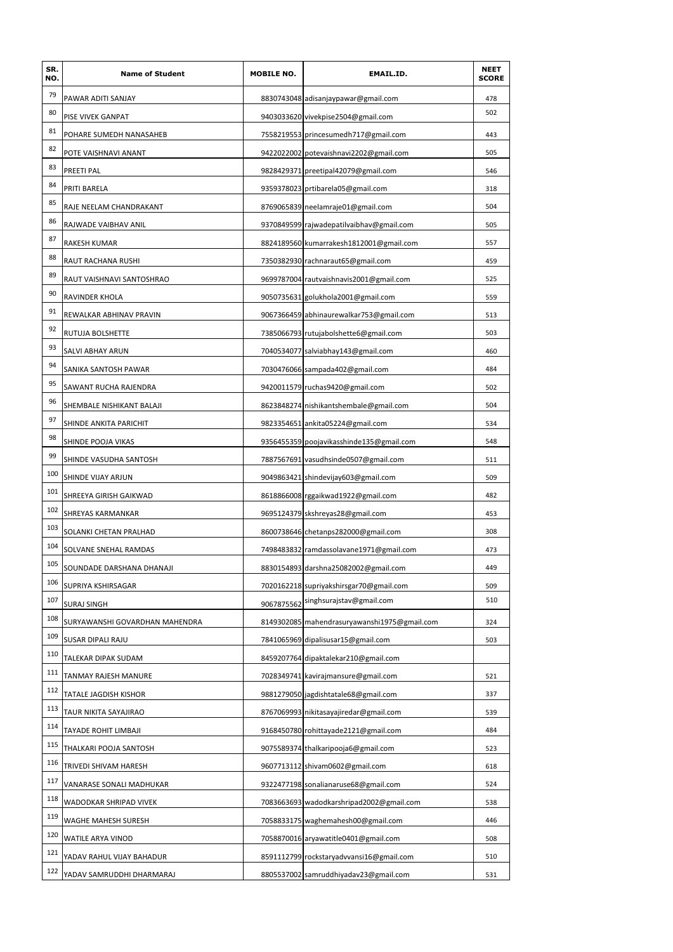| SR.<br>NO. | <b>Name of Student</b>         | <b>MOBILE NO.</b> | EMAIL.ID.                                    | <b>NEET</b><br><b>SCORE</b> |
|------------|--------------------------------|-------------------|----------------------------------------------|-----------------------------|
| 79         | PAWAR ADITI SANJAY             |                   | 8830743048 adisanjaypawar@gmail.com          | 478                         |
| 80         | PISE VIVEK GANPAT              |                   | 9403033620 vivekpise2504@gmail.com           | 502                         |
| 81         | POHARE SUMEDH NANASAHEB        |                   | 7558219553 princesumedh717@gmail.com         | 443                         |
| 82         | POTE VAISHNAVI ANANT           |                   | 9422022002 potevaishnavi2202@gmail.com       | 505                         |
| 83         | PREETI PAL                     |                   | 9828429371 preetipal42079@gmail.com          | 546                         |
| 84         | PRITI BARELA                   |                   | 9359378023 prtibarela05@gmail.com            | 318                         |
| 85         | RAJE NEELAM CHANDRAKANT        |                   | 8769065839 neelamraje01@gmail.com            | 504                         |
| 86         | RAJWADE VAIBHAV ANIL           |                   | 9370849599 rajwadepatilvaibhav@gmail.com     | 505                         |
| 87         | RAKESH KUMAR                   |                   | 8824189560 kumarrakesh1812001@gmail.com      | 557                         |
| 88         | RAUT RACHANA RUSHI             |                   | 7350382930 rachnaraut65@gmail.com            | 459                         |
| 89         | RAUT VAISHNAVI SANTOSHRAO      |                   | 9699787004 rautvaishnavis2001@gmail.com      | 525                         |
| 90         | RAVINDER KHOLA                 |                   | 9050735631 golukhola2001@gmail.com           | 559                         |
| 91         | REWALKAR ABHINAV PRAVIN        |                   | 9067366459 abhinaurewalkar753@gmail.com      | 513                         |
| 92         | RUTUJA BOLSHETTE               |                   | 7385066793 rutujabolshette6@gmail.com        | 503                         |
| 93         | <b>SALVI ABHAY ARUN</b>        |                   | 7040534077 salviabhay143@gmail.com           | 460                         |
| 94         | SANIKA SANTOSH PAWAR           |                   | 7030476066 sampada402@gmail.com              | 484                         |
| 95         | SAWANT RUCHA RAJENDRA          |                   | 9420011579 ruchas9420@gmail.com              | 502                         |
| 96         | SHEMBALE NISHIKANT BALAJI      |                   | 8623848274 nishikantshembale@gmail.com       | 504                         |
| 97         | SHINDE ANKITA PARICHIT         |                   | 9823354651 ankita05224@gmail.com             | 534                         |
| 98         | SHINDE POOJA VIKAS             |                   | 9356455359 poojavikasshinde135@gmail.com     | 548                         |
| 99         | SHINDE VASUDHA SANTOSH         |                   | 7887567691 vasudhsinde0507@gmail.com         | 511                         |
| 100        | SHINDE VIJAY ARJUN             |                   | 9049863421 shindevijay603@gmail.com          | 509                         |
| 101        | SHREEYA GIRISH GAIKWAD         |                   | 8618866008 rggaikwad1922@gmail.com           | 482                         |
| 102        | SHREYAS KARMANKAR              |                   | 9695124379 skshreyas28@gmail.com             | 453                         |
| 103        | SOLANKI CHETAN PRALHAD         |                   | 8600738646 chetanps282000@gmail.com          | 308                         |
| 104        | SOLVANE SNEHAL RAMDAS          |                   | 7498483832 ramdassolavane1971@gmail.com      | 473                         |
| 105        | SOUNDADE DARSHANA DHANAJI      |                   | 8830154893 darshna25082002@gmail.com         | 449                         |
| 106        | SUPRIYA KSHIRSAGAR             |                   | 7020162218 supriyakshirsgar70@gmail.com      | 509                         |
| 107        | <b>SURAJ SINGH</b>             | 9067875562        | singhsurajstav@gmail.com                     | 510                         |
| 108        | SURYAWANSHI GOVARDHAN MAHENDRA |                   | 8149302085 mahendrasuryawanshi1975@gmail.com | 324                         |
| 109        | SUSAR DIPALI RAJU              |                   | 7841065969 dipalisusar15@gmail.com           | 503                         |
| 110        | TALEKAR DIPAK SUDAM            |                   | 8459207764 dipaktalekar210@gmail.com         |                             |
| 111        | TANMAY RAJESH MANURE           |                   | 7028349741 kavirajmansure@gmail.com          | 521                         |
| 112        | TATALE JAGDISH KISHOR          |                   | 9881279050 jagdishtatale68@gmail.com         | 337                         |
| 113        | TAUR NIKITA SAYAJIRAO          |                   | 8767069993 nikitasayajiredar@gmail.com       | 539                         |
| 114        | TAYADE ROHIT LIMBAJI           |                   | 9168450780 rohittayade2121@gmail.com         | 484                         |
| 115        | THALKARI POOJA SANTOSH         |                   | 9075589374 thalkaripooja6@gmail.com          | 523                         |
| 116        | TRIVEDI SHIVAM HARESH          |                   | 9607713112 shivam0602@gmail.com              | 618                         |
| 117        | VANARASE SONALI MADHUKAR       |                   | 9322477198 sonalianaruse68@gmail.com         | 524                         |
| 118        | WADODKAR SHRIPAD VIVEK         |                   | 7083663693 wadodkarshripad2002@gmail.com     | 538                         |
| 119        | WAGHE MAHESH SURESH            |                   | 7058833175 waghemahesh00@gmail.com           | 446                         |
| 120        | WATILE ARYA VINOD              |                   | 7058870016 aryawatitle0401@gmail.com         | 508                         |
| 121        | YADAV RAHUL VIJAY BAHADUR      |                   | 8591112799 rockstaryadvvansi16@gmail.com     | 510                         |
| 122        | YADAV SAMRUDDHI DHARMARAJ      |                   | 8805537002 samruddhiyadav23@gmail.com        | 531                         |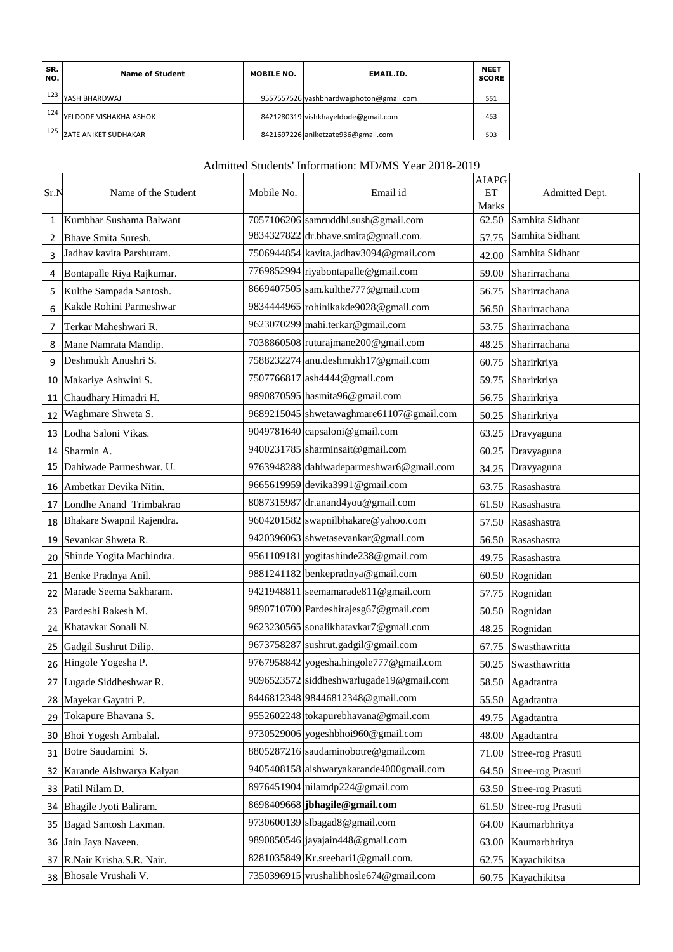| SR.<br>NO. | <b>Name of Student</b>      | <b>MOBILE NO.</b><br><b>EMAIL ID.</b> |                                         | <b>NEET</b><br><b>SCORE</b> |
|------------|-----------------------------|---------------------------------------|-----------------------------------------|-----------------------------|
| 123        | YASH BHARDWAJ               |                                       | 9557557526 yashbhardwajphoton@gmail.com | 551                         |
| 124        | YELDODE VISHAKHA ASHOK      |                                       | 8421280319 vishkhayeldode@gmail.com     | 453                         |
| 125        | <b>ZATE ANIKET SUDHAKAR</b> |                                       | 8421697226 aniketzate936@gmail.com      | 503                         |

#### Admitted Students' Information: MD/MS Year 2018-2019

| Sr.N | Name of the Student       | Mobile No. | Email id                                 | <b>AIAPG</b><br>ET<br>Marks | Admitted Dept.    |
|------|---------------------------|------------|------------------------------------------|-----------------------------|-------------------|
| 1    | Kumbhar Sushama Balwant   |            | 7057106206 samruddhi.sush@gmail.com      | 62.50                       | Samhita Sidhant   |
| 2    | Bhave Smita Suresh.       |            | 9834327822 dr.bhave.smita@gmail.com.     | 57.75                       | Samhita Sidhant   |
| 3    | Jadhav kavita Parshuram.  |            | 7506944854 kavita.jadhav3094@gmail.com   | 42.00                       | Samhita Sidhant   |
| 4    | Bontapalle Riya Rajkumar. |            | 7769852994 riyabontapalle@gmail.com      | 59.00                       | Sharirrachana     |
| 5    | Kulthe Sampada Santosh.   |            | 8669407505 sam.kulthe777@gmail.com       | 56.75                       | Sharirrachana     |
| 6    | Kakde Rohini Parmeshwar   |            | 9834444965 rohinikakde9028@gmail.com     | 56.50                       | Sharirrachana     |
| 7    | Terkar Maheshwari R.      |            | 9623070299 mahi.terkar@gmail.com         | 53.75                       | Sharirrachana     |
| 8    | Mane Namrata Mandip.      |            | 7038860508 ruturajmane200@gmail.com      | 48.25                       | Sharirrachana     |
| 9    | Deshmukh Anushri S.       |            | 7588232274 anu.deshmukh17@gmail.com      | 60.75                       | Sharirkriya       |
| 10   | Makariye Ashwini S.       |            | 7507766817 ash4444@gmail.com             | 59.75                       | Sharirkriya       |
| 11   | Chaudhary Himadri H.      |            | 9890870595 hasmita96@gmail.com           | 56.75                       | Sharirkriya       |
| 12   | Waghmare Shweta S.        |            | 9689215045 shwetawaghmare61107@gmail.com | 50.25                       | Sharirkriya       |
| 13   | Lodha Saloni Vikas.       |            | 9049781640 capsaloni@gmail.com           | 63.25                       | Dravyaguna        |
| 14   | Sharmin A.                |            | 9400231785 sharminsait@gmail.com         | 60.25                       | Dravyaguna        |
| 15   | Dahiwade Parmeshwar. U.   |            | 9763948288 dahiwadeparmeshwar6@gmail.com | 34.25                       | Dravyaguna        |
| 16   | Ambetkar Devika Nitin.    |            | 9665619959 devika3991@gmail.com          | 63.75                       | Rasashastra       |
| 17   | Londhe Anand Trimbakrao   |            | 8087315987 dr.anand4you@gmail.com        | 61.50                       | Rasashastra       |
| 18   | Bhakare Swapnil Rajendra. |            | 9604201582 swapnilbhakare@yahoo.com      | 57.50                       | Rasashastra       |
| 19   | Sevankar Shweta R.        |            | 9420396063 shwetasevankar@gmail.com      | 56.50                       | Rasashastra       |
| 20   | Shinde Yogita Machindra.  |            | 9561109181 yogitashinde238@gmail.com     | 49.75                       | Rasashastra       |
| 21   | Benke Pradnya Anil.       |            | 9881241182 benkepradnya@gmail.com        | 60.50                       | Rognidan          |
| 22   | Marade Seema Sakharam.    |            | 9421948811 seemamarade811@gmail.com      | 57.75                       | Rognidan          |
| 23   | Pardeshi Rakesh M.        |            | 9890710700 Pardeshirajesg67@gmail.com    | 50.50                       | Rognidan          |
| 24   | Khatavkar Sonali N.       |            | 9623230565 sonalikhatavkar7@gmail.com    | 48.25                       | Rognidan          |
| 25   | Gadgil Sushrut Dilip.     |            | 9673758287 sushrut.gadgil@gmail.com      | 67.75                       | Swasthawritta     |
| 26   | Hingole Yogesha P.        |            | 9767958842 yogesha.hingole777@gmail.com  | 50.25                       | Swasthawritta     |
|      | 27 Lugade Siddheshwar R.  |            | 9096523572 siddheshwarlugade19@gmail.com |                             | 58.50 Agadtantra  |
| 28   | Mayekar Gayatri P.        |            | 8446812348 98446812348@gmail.com         | 55.50                       | Agadtantra        |
| 29   | Tokapure Bhavana S.       |            | 9552602248 tokapurebhavana@gmail.com     | 49.75                       | Agadtantra        |
| 30   | Bhoi Yogesh Ambalal.      |            | 9730529006 yogeshbhoi960@gmail.com       |                             | 48.00 Agadtantra  |
| 31   | Botre Saudamini S.        |            | 8805287216 saudaminobotre@gmail.com      | 71.00                       | Stree-rog Prasuti |
| 32   | Karande Aishwarya Kalyan  |            | 9405408158 aishwaryakarande4000gmail.com | 64.50                       | Stree-rog Prasuti |
| 33   | Patil Nilam D.            |            | 8976451904 nilamdp224@gmail.com          | 63.50                       | Stree-rog Prasuti |
| 34   | Bhagile Jyoti Baliram.    |            | 8698409668 jbhagile@gmail.com            | 61.50                       | Stree-rog Prasuti |
| 35   | Bagad Santosh Laxman.     |            | 9730600139 slbagad8@gmail.com            | 64.00                       | Kaumarbhritya     |
| 36   | Jain Jaya Naveen.         |            | 9890850546 jayajain448@gmail.com         | 63.00                       | Kaumarbhritya     |
| 37   | R.Nair Krisha.S.R. Nair.  |            | 8281035849 Kr.sreehari1@gmail.com.       | 62.75                       | Kayachikitsa      |
| 38   | Bhosale Vrushali V.       |            | 7350396915 vrushalibhosle674@gmail.com   | 60.75                       | Kayachikitsa      |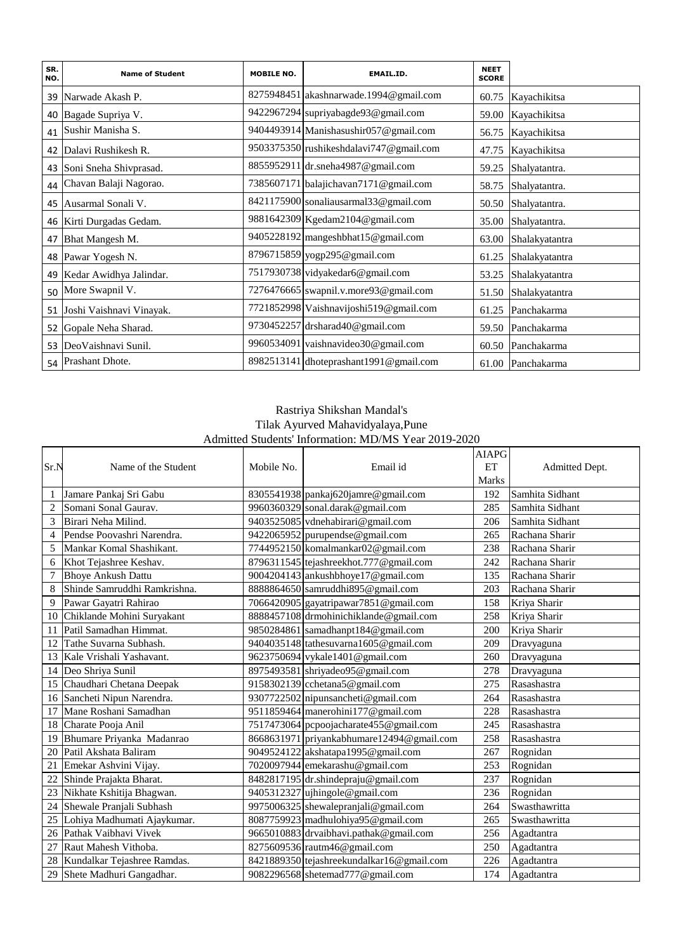| SR.<br>NO. | <b>Name of Student</b>   | <b>MOBILE NO.</b> | <b>EMAIL.ID.</b>                        | <b>NEET</b><br><b>SCORE</b> |                   |
|------------|--------------------------|-------------------|-----------------------------------------|-----------------------------|-------------------|
| 39         | Narwade Akash P.         |                   | 8275948451 akashnarwade.1994@gmail.com  | 60.75                       | Kayachikitsa      |
| 40         | Bagade Supriya V.        |                   | 9422967294 supriyabagde93@gmail.com     | 59.00                       | Kayachikitsa      |
| 41         | Sushir Manisha S.        |                   | 9404493914 Manishasushir057@gmail.com   | 56.75                       | Kayachikitsa      |
| 42         | Dalavi Rushikesh R.      |                   | 9503375350 rushikeshdalavi747@gmail.com | 47.75                       | Kayachikitsa      |
| 43         | Soni Sneha Shivprasad.   |                   | 8855952911 dr.sneha4987@gmail.com       | 59.25                       | Shalyatantra.     |
| 44         | Chavan Balaji Nagorao.   |                   | 7385607171 balajichavan7171@gmail.com   | 58.75                       | Shalyatantra.     |
| 45         | Ausarmal Sonali V.       |                   | 8421175900 sonaliausarmal33@gmail.com   | 50.50                       | Shalyatantra.     |
| 46         | Kirti Durgadas Gedam.    |                   | 9881642309 Kgedam2104@gmail.com         | 35.00                       | Shalyatantra.     |
| 47         | Bhat Mangesh M.          |                   | 9405228192 mangeshbhat15@gmail.com      | 63.00                       | Shalakyatantra    |
| 48         | Pawar Yogesh N.          |                   | 8796715859 yogp295@gmail.com            | 61.25                       | Shalakyatantra    |
| 49         | Kedar Awidhya Jalindar.  |                   | 7517930738 vidyakedar6@gmail.com        | 53.25                       | Shalakyatantra    |
| 50         | More Swapnil V.          |                   | 7276476665 swapnil.v.more93@gmail.com   | 51.50                       | Shalakyatantra    |
| 51         | Joshi Vaishnavi Vinayak. |                   | 7721852998 Vaishnavijoshi519@gmail.com  | 61.25                       | Panchakarma       |
| 52         | Gopale Neha Sharad.      |                   | 9730452257 drsharad40@gmail.com         | 59.50                       | Panchakarma       |
| 53         | DeoVaishnavi Sunil.      |                   | 9960534091 vaishnavideo30@gmail.com     |                             | 60.50 Panchakarma |
|            | 54 Prashant Dhote.       |                   | 8982513141 dhoteprashant1991@gmail.com  |                             | 61.00 Panchakarma |

# Admitted Students' Information: MD/MS Year 2019-2020 Rastriya Shikshan Mandal's Tilak Ayurved Mahavidyalaya,Pune

|      |                              |            |                                           | <b>AIAPG</b> |                 |
|------|------------------------------|------------|-------------------------------------------|--------------|-----------------|
| Sr.N | Name of the Student          | Mobile No. | Email id                                  | ET           | Admitted Dept.  |
|      |                              |            |                                           | <b>Marks</b> |                 |
| 1    | Jamare Pankaj Sri Gabu       |            | 8305541938 pankaj620jamre@gmail.com       | 192          | Samhita Sidhant |
| 2    | Somani Sonal Gaurav.         |            | 9960360329 sonal.darak@gmail.com          | 285          | Samhita Sidhant |
| 3    | Birari Neha Milind.          |            | 9403525085 vdnehabirari@gmail.com         | 206          | Samhita Sidhant |
| 4    | Pendse Poovashri Narendra.   |            | 9422065952 purupendse@gmail.com           | 265          | Rachana Sharir  |
| 5    | Mankar Komal Shashikant.     |            | 7744952150 komalmankar02@gmail.com        | 238          | Rachana Sharir  |
| 6    | Khot Tejashree Keshav.       |            | 8796311545 tejashreekhot.777@gmail.com    | 242          | Rachana Sharir  |
| 7    | <b>Bhoye Ankush Dattu</b>    |            | 9004204143 ankushbhoye17@gmail.com        | 135          | Rachana Sharir  |
| 8    | Shinde Samruddhi Ramkrishna. |            | 8888864650 samruddhi895@gmail.com         | 203          | Rachana Sharir  |
| 9    | Pawar Gayatri Rahirao        |            | 7066420905 gayatripawar7851@gmail.com     | 158          | Kriya Sharir    |
| 10   | Chiklande Mohini Suryakant   |            | 8888457108 drmohinichiklande@gmail.com    | 258          | Kriya Sharir    |
| 11   | Patil Samadhan Himmat.       |            | 9850284861 samadhanpt184@gmail.com        | 200          | Kriya Sharir    |
| 12   | Tathe Suvarna Subhash.       |            | 9404035148 tathesuvarna1605@gmail.com     | 209          | Dravyaguna      |
| 13   | Kale Vrishali Yashavant.     |            | 9623750694 vykale1401@gmail.com           | 260          | Dravyaguna      |
| 14   | Deo Shriya Sunil             |            | 8975493581 shriyadeo95@gmail.com          | 278          | Dravyaguna      |
| 15   | Chaudhari Chetana Deepak     |            | 9158302139 cchetana5@gmail.com            | 275          | Rasashastra     |
| 16   | Sancheti Nipun Narendra.     |            | 9307722502 nipunsancheti@gmail.com        | 264          | Rasashastra     |
| 17   | Mane Roshani Samadhan        |            | 9511859464 manerohini177@gmail.com        | 228          | Rasashastra     |
| 18   | Charate Pooja Anil           |            | 7517473064 pcpoojacharate455@gmail.com    | 245          | Rasashastra     |
| 19   | Bhumare Priyanka Madanrao    |            | 8668631971 priyankabhumare12494@gmail.com | 258          | Rasashastra     |
| 20   | Patil Akshata Baliram        |            | 9049524122 akshatapa1995@gmail.com        | 267          | Rognidan        |
| 21   | Emekar Ashvini Vijay.        |            | 7020097944 emekarashu@gmail.com           | 253          | Rognidan        |
| 22   | Shinde Prajakta Bharat.      |            | 8482817195 dr.shindepraju@gmail.com       | 237          | Rognidan        |
| 23   | Nikhate Kshitija Bhagwan.    |            | 9405312327 ujhingole@gmail.com            | 236          | Rognidan        |
| 24   | Shewale Pranjali Subhash     |            | 9975006325 shewalepranjali@gmail.com      | 264          | Swasthawritta   |
| 25   | Lohiya Madhumati Ajaykumar.  |            | 8087759923 madhulohiya95@gmail.com        | 265          | Swasthawritta   |
| 26   | Pathak Vaibhavi Vivek        |            | 9665010883 drvaibhavi.pathak@gmail.com    | 256          | Agadtantra      |
| 27   | Raut Mahesh Vithoba.         |            | 8275609536 rautm46@gmail.com              | 250          | Agadtantra      |
| 28   | Kundalkar Tejashree Ramdas.  |            | 8421889350 tejashreekundalkar16@gmail.com | 226          | Agadtantra      |
| 29   | Shete Madhuri Gangadhar.     |            | 9082296568 shetemad777@gmail.com          | 174          | Agadtantra      |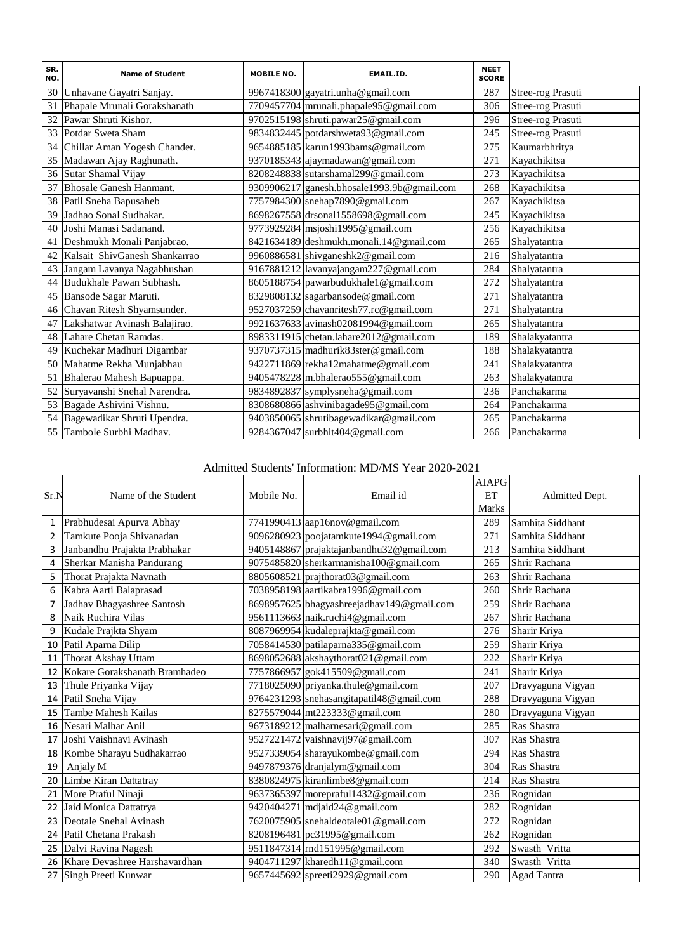| SR.<br>NO. | <b>Name of Student</b>        | <b>MOBILE NO.</b> | EMAIL.ID.                                  | <b>NEET</b><br><b>SCORE</b> |                   |
|------------|-------------------------------|-------------------|--------------------------------------------|-----------------------------|-------------------|
| 30         | Unhavane Gayatri Sanjay.      |                   | 9967418300 gayatri.unha@gmail.com          | 287                         | Stree-rog Prasuti |
| 31         | Phapale Mrunali Gorakshanath  |                   | 7709457704 mrunali.phapale95@gmail.com     | 306                         | Stree-rog Prasuti |
| 32         | Pawar Shruti Kishor.          |                   | 9702515198 shruti.pawar25@gmail.com        | 296                         | Stree-rog Prasuti |
| 33         | Potdar Sweta Sham             |                   | 9834832445 potdarshweta93@gmail.com        | 245                         | Stree-rog Prasuti |
| 34         | Chillar Aman Yogesh Chander.  |                   | 9654885185 karun1993bams@gmail.com         | 275                         | Kaumarbhritya     |
| 35         | Madawan Ajay Raghunath.       |                   | 9370185343 ajaymadawan@gmail.com           | 271                         | Kayachikitsa      |
| 36         | Sutar Shamal Vijay            |                   | 8208248838 sutarshamal299@gmail.com        | 273                         | Kayachikitsa      |
| 37         | Bhosale Ganesh Hanmant.       |                   | 9309906217 ganesh.bhosale1993.9b@gmail.com | 268                         | Kayachikitsa      |
| 38         | Patil Sneha Bapusaheb         |                   | 7757984300 snehap7890@gmail.com            | 267                         | Kayachikitsa      |
| 39         | Jadhao Sonal Sudhakar.        |                   | 8698267558 drsonal1558698@gmail.com        | 245                         | Kayachikitsa      |
| 40         | Joshi Manasi Sadanand.        |                   | 9773929284 msjoshi1995@gmail.com           | 256                         | Kayachikitsa      |
| 41         | Deshmukh Monali Panjabrao.    |                   | 8421634189 deshmukh.monali.14@gmail.com    | 265                         | Shalyatantra      |
| 42         | Kalsait ShivGanesh Shankarrao |                   | 9960886581 shivganeshk2@gmail.com          | 216                         | Shalyatantra      |
| 43         | Jangam Lavanya Nagabhushan    |                   | 9167881212 lavanyajangam227@gmail.com      | 284                         | Shalyatantra      |
| 44         | Budukhale Pawan Subhash.      |                   | 8605188754 pawarbudukhale1@gmail.com       | 272                         | Shalyatantra      |
| 45         | Bansode Sagar Maruti.         |                   | 8329808132 sagarbansode@gmail.com          | 271                         | Shalyatantra      |
| 46         | Chavan Ritesh Shyamsunder.    |                   | 9527037259 chavanritesh77.rc@gmail.com     | 271                         | Shalyatantra      |
| 47         | Lakshatwar Avinash Balajirao. |                   | 9921637633 avinash02081994@gmail.com       | 265                         | Shalyatantra      |
| 48         | Lahare Chetan Ramdas.         |                   | 8983311915 chetan.lahare2012@gmail.com     | 189                         | Shalakyatantra    |
| 49         | Kuchekar Madhuri Digambar     |                   | 9370737315 madhurik83ster@gmail.com        | 188                         | Shalakyatantra    |
| 50         | Mahatme Rekha Munjabhau       |                   | 9422711869 rekha12mahatme@gmail.com        | 241                         | Shalakyatantra    |
| 51         | Bhalerao Mahesh Bapuappa.     |                   | 9405478228 m.bhalerao555@gmail.com         | 263                         | Shalakyatantra    |
| 52         | Suryavanshi Snehal Narendra.  |                   | 9834892837 symplysneha@gmail.com           | 236                         | Panchakarma       |
| 53         | Bagade Ashivini Vishnu.       |                   | 8308680866 ashvinibagade95@gmail.com       | 264                         | Panchakarma       |
| 54         | Bagewadikar Shruti Upendra.   |                   | 9403850065 shrutibagewadikar@gmail.com     | 265                         | Panchakarma       |
| 55         | Tambole Surbhi Madhav.        |                   | 9284367047 surbhit404@gmail.com            | 266                         | Panchakarma       |

# Admitted Students' Information: MD/MS Year 2020-2021

| Sr.N | Name of the Student           | Mobile No. | Email id                                  | <b>AIAPG</b><br>ET<br><b>Marks</b> | Admitted Dept.     |
|------|-------------------------------|------------|-------------------------------------------|------------------------------------|--------------------|
| 1    | Prabhudesai Apurva Abhay      |            | 7741990413 aap16nov@gmail.com             | 289                                | Samhita Siddhant   |
| 2    | Tamkute Pooja Shivanadan      |            | 9096280923 poojatamkute1994@gmail.com     | 271                                | Samhita Siddhant   |
| 3    | Janbandhu Prajakta Prabhakar  |            | 9405148867 prajaktajanbandhu32@gmail.com  | 213                                | Samhita Siddhant   |
| 4    | Sherkar Manisha Pandurang     |            | 9075485820 sherkarmanisha100@gmail.com    | 265                                | Shrir Rachana      |
| 5    | Thorat Prajakta Navnath       |            | 8805608521 prajthorat03@gmail.com         | 263                                | Shrir Rachana      |
| 6    | Kabra Aarti Balaprasad        |            | 7038958198 aartikabra1996@gmail.com       | 260                                | Shrir Rachana      |
| 7    | Jadhav Bhagyashree Santosh    |            | 8698957625 bhagyashreejadhav149@gmail.com | 259                                | Shrir Rachana      |
| 8    | Naik Ruchira Vilas            |            | 9561113663 naik.ruchi4@gmail.com          | 267                                | Shrir Rachana      |
| 9    | Kudale Prajkta Shyam          |            | 8087969954 kudaleprajkta@gmail.com        | 276                                | Sharir Kriya       |
| 10   | Patil Aparna Dilip            |            | 7058414530 patilaparna335@gmail.com       | 259                                | Sharir Kriya       |
| 11   | <b>Thorat Akshay Uttam</b>    |            | 8698052688 akshaythorat021@gmail.com      | 222                                | Sharir Kriya       |
| 12   | Kokare Gorakshanath Bramhadeo |            | 7757866957 gok415509@gmail.com            | 241                                | Sharir Kriya       |
| 13   | Thule Priyanka Vijay          |            | 7718025090 priyanka.thule@gmail.com       | 207                                | Dravyaguna Vigyan  |
| 14   | Patil Sneha Vijay             |            | 9764231293 snehasangitapatil48@gmail.com  | 288                                | Dravyaguna Vigyan  |
| 15   | Tambe Mahesh Kailas           |            | 8275579044 mt223333@gmail.com             | 280                                | Dravyaguna Vigyan  |
| 16   | Nesari Malhar Anil            |            | 9673189212 malharnesari@gmail.com         | 285                                | Ras Shastra        |
| 17   | Joshi Vaishnavi Avinash       |            | 9527221472 vaishnavij97@gmail.com         | 307                                | Ras Shastra        |
| 18   | Kombe Sharayu Sudhakarrao     |            | 9527339054 sharayukombe@gmail.com         | 294                                | Ras Shastra        |
| 19   | Anjaly M                      |            | 9497879376 dranjalym@gmail.com            | 304                                | Ras Shastra        |
| 20   | Limbe Kiran Dattatray         |            | 8380824975 kiranlimbe8@gmail.com          | 214                                | Ras Shastra        |
| 21   | More Praful Ninaji            |            | 9637365397 morepraful1432@gmail.com       | 236                                | Rognidan           |
| 22   | Jaid Monica Dattatrya         |            | 9420404271 mdjaid24@gmail.com             | 282                                | Rognidan           |
| 23   | Deotale Snehal Avinash        |            | 7620075905 snehaldeotale01@gmail.com      | 272                                | Rognidan           |
| 24   | Patil Chetana Prakash         |            | 8208196481 pc31995@gmail.com              | 262                                | Rognidan           |
| 25   | Dalvi Ravina Nagesh           |            | 9511847314 rnd151995@gmail.com            | 292                                | Swasth Vritta      |
| 26   | Khare Devashree Harshavardhan |            | 9404711297 kharedh11@gmail.com            | 340                                | Swasth Vritta      |
| 27   | Singh Preeti Kunwar           |            | 9657445692 spreeti2929@gmail.com          | 290                                | <b>Agad Tantra</b> |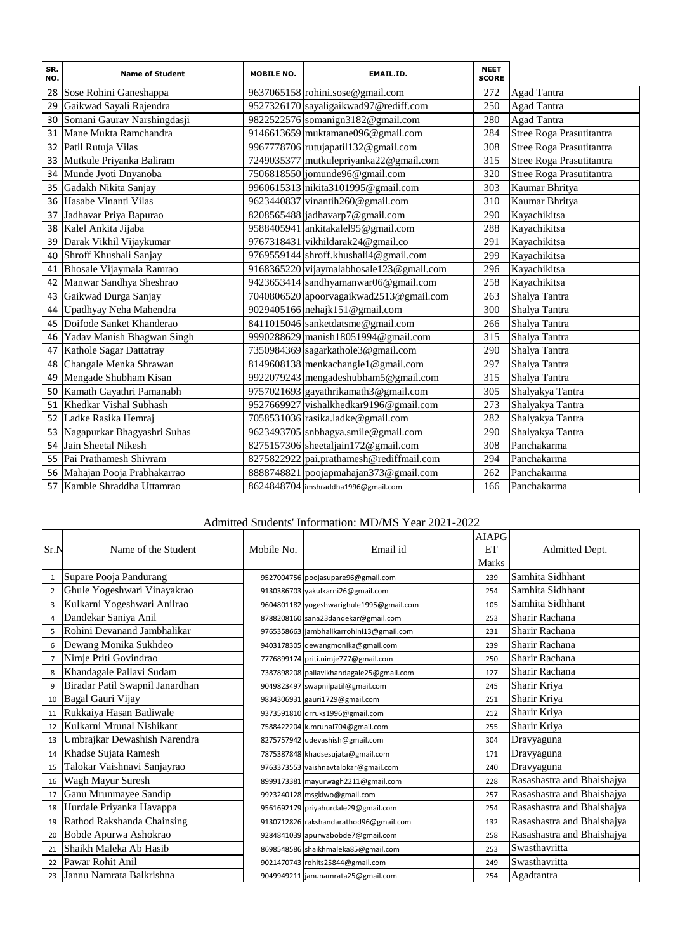| SR.<br>NO. | <b>Name of Student</b>         | <b>MOBILE NO.</b> | EMAIL.ID.                                | <b>NEET</b><br><b>SCORE</b> |                          |
|------------|--------------------------------|-------------------|------------------------------------------|-----------------------------|--------------------------|
|            | 28 Sose Rohini Ganeshappa      |                   | 9637065158 rohini.sose@gmail.com         | 272                         | Agad Tantra              |
| 29         | Gaikwad Sayali Rajendra        |                   | 9527326170 sayaligaikwad97@rediff.com    | 250                         | <b>Agad Tantra</b>       |
| 30         | Somani Gaurav Narshingdasji    |                   | 9822522576 somanign3182@gmail.com        | 280                         | <b>Agad Tantra</b>       |
| 31         | Mane Mukta Ramchandra          |                   | 9146613659 muktamane096@gmail.com        | 284                         | Stree Roga Prasutitantra |
| 32         | Patil Rutuja Vilas             |                   | 9967778706 rutujapatil132@gmail.com      | 308                         | Stree Roga Prasutitantra |
| 33         | Mutkule Priyanka Baliram       |                   | 7249035377 mutkulepriyanka22@gmail.com   | 315                         | Stree Roga Prasutitantra |
| 34         | Munde Jyoti Dnyanoba           |                   | 7506818550 jomunde96@gmail.com           | 320                         | Stree Roga Prasutitantra |
| 35         | Gadakh Nikita Sanjay           |                   | 9960615313 nikita3101995@gmail.com       | 303                         | Kaumar Bhritya           |
| 36         | Hasabe Vinanti Vilas           |                   | 9623440837 vinantih260@gmail.com         | 310                         | Kaumar Bhritya           |
| 37         | Jadhavar Priya Bapurao         |                   | 8208565488 jadhavarp7@gmail.com          | 290                         | Kayachikitsa             |
| 38         | Kalel Ankita Jijaba            |                   | 9588405941 ankitakalel95@gmail.com       | 288                         | Kayachikitsa             |
| 39         | Darak Vikhil Vijaykumar        |                   | 9767318431 vikhildarak24@gmail.co        | 291                         | Kayachikitsa             |
| 40         | Shroff Khushali Sanjay         |                   | 9769559144 shroff.khushali4@gmail.com    | 299                         | Kayachikitsa             |
| 41         | Bhosale Vijaymala Ramrao       |                   | 9168365220 vijaymalabhosale123@gmail.com | 296                         | Kayachikitsa             |
| 42         | Manwar Sandhya Sheshrao        |                   | 9423653414 sandhyamanwar06@gmail.com     | 258                         | Kayachikitsa             |
| 43         | Gaikwad Durga Sanjay           |                   | 7040806520 apoorvagaikwad2513@gmail.com  | 263                         | Shalya Tantra            |
| 44         | Upadhyay Neha Mahendra         |                   | 9029405166 nehajk151@gmail.com           | 300                         | Shalya Tantra            |
| 45         | Doifode Sanket Khanderao       |                   | 8411015046 sanketdatsme@gmail.com        | 266                         | Shalya Tantra            |
| 46         | Yadav Manish Bhagwan Singh     |                   | 9990288629 manish18051994@gmail.com      | 315                         | Shalya Tantra            |
| 47         | Kathole Sagar Dattatray        |                   | 7350984369 sagarkathole3@gmail.com       | 290                         | Shalya Tantra            |
| 48         | Changale Menka Shrawan         |                   | 8149608138 menkachangle1@gmail.com       | 297                         | Shalya Tantra            |
| 49         | Mengade Shubham Kisan          |                   | 9922079243 mengadeshubham5@gmail.com     | 315                         | Shalya Tantra            |
| 50         | Kamath Gayathri Pamanabh       |                   | 9757021693 gayathrikamath3@gmail.com     | 305                         | Shalyakya Tantra         |
| 51         | Khedkar Vishal Subhash         |                   | 9527669927 vishalkhedkar9196@gmail.com   | 273                         | Shalyakya Tantra         |
| 52         | Ladke Rasika Hemraj            |                   | 7058531036 rasika.ladke@gmail.com        | 282                         | Shalyakya Tantra         |
|            | 53 Nagapurkar Bhagyashri Suhas |                   | 9623493705 snbhagya.smile@gmail.com      | 290                         | Shalyakya Tantra         |
| 54         | Jain Sheetal Nikesh            |                   | 8275157306 sheetaljain172@gmail.com      | 308                         | Panchakarma              |
| 55         | Pai Prathamesh Shivram         |                   | 8275822922 pai.prathamesh@rediffmail.com | 294                         | Panchakarma              |
| 56         | Mahajan Pooja Prabhakarrao     |                   | 8888748821 poojapmahajan373@gmail.com    | 262                         | Panchakarma              |
| 57         | Kamble Shraddha Uttamrao       |                   | 8624848704 imshraddha1996@gmail.com      | 166                         | Panchakarma              |

# Admitted Students' Information: MD/MS Year 2021-2022

| Sr.N           | Name of the Student             | Mobile No. | Email id                                 | <b>AIAPG</b><br>ET<br><b>Marks</b> | Admitted Dept.             |
|----------------|---------------------------------|------------|------------------------------------------|------------------------------------|----------------------------|
| $\mathbf{1}$   | Supare Pooja Pandurang          |            | 9527004756 poojasupare96@gmail.com       | 239                                | Samhita Sidhhant           |
| $\overline{2}$ | Ghule Yogeshwari Vinayakrao     |            | 9130386703 yakulkarni26@gmail.com        | 254                                | Samhita Sidhhant           |
| 3              | Kulkarni Yogeshwari Anilrao     |            | 9604801182 yogeshwarighule1995@gmail.com | 105                                | Samhita Sidhhant           |
| 4              | Dandekar Saniya Anil            |            | 8788208160 sana23dandekar@gmail.com      | 253                                | Sharir Rachana             |
| 5              | Rohini Devanand Jambhalikar     |            | 9765358663 jambhalikarrohini13@gmail.com | 231                                | Sharir Rachana             |
| 6              | Dewang Monika Sukhdeo           |            | 9403178305 dewangmonika@gmail.com        | 239                                | Sharir Rachana             |
| 7              | Nimje Priti Govindrao           |            | 7776899174 priti.nimje777@gmail.com      | 250                                | Sharir Rachana             |
| 8              | Khandagale Pallavi Sudam        |            | 7387898208 pallavikhandagale25@gmail.com | 127                                | Sharir Rachana             |
| 9              | Biradar Patil Swapnil Janardhan |            | 9049823497 swapnilpatil@gmail.com        | 245                                | Sharir Kriya               |
| 10             | Bagal Gauri Vijay               |            | 9834306931 gauri1729@gmail.com           | 251                                | Sharir Kriya               |
| 11             | Rukkaiya Hasan Badiwale         |            | 9373591810 drruks1996@gmail.com          | 212                                | Sharir Kriya               |
| 12             | Kulkarni Mrunal Nishikant       |            | 7588422204 k.mrunal704@gmail.com         | 255                                | Sharir Kriya               |
| 13             | Umbrajkar Dewashish Narendra    |            | 8275757942 udevashish@gmail.com          | 304                                | Dravyaguna                 |
| 14             | Khadse Sujata Ramesh            |            | 7875387848 khadsesujata@gmail.com        | 171                                | Dravyaguna                 |
| 15             | Talokar Vaishnavi Sanjayrao     |            | 9763373553 vaishnavtalokar@gmail.com     | 240                                | Dravyaguna                 |
| 16             | Wagh Mayur Suresh               |            | 8999173381 mayurwagh2211@gmail.com       | 228                                | Rasashastra and Bhaishajya |
| 17             | Ganu Mrunmayee Sandip           |            | 9923240128 msgklwo@gmail.com             | 257                                | Rasashastra and Bhaishajya |
| 18             | Hurdale Priyanka Havappa        |            | 9561692179 priyahurdale29@gmail.com      | 254                                | Rasashastra and Bhaishajya |
| 19             | Rathod Rakshanda Chainsing      |            | 9130712826 rakshandarathod96@gmail.com   | 132                                | Rasashastra and Bhaishajya |
| 20             | Bobde Apurwa Ashokrao           |            | 9284841039 apurwabobde7@gmail.com        | 258                                | Rasashastra and Bhaishajya |
| 21             | Shaikh Maleka Ab Hasib          |            | 8698548586 shaikhmaleka85@gmail.com      | 253                                | Swasthavritta              |
| 22             | Pawar Rohit Anil                |            | 9021470743 rohits25844@gmail.com         | 249                                | Swasthavritta              |
| 23             | Jannu Namrata Balkrishna        |            | 9049949211 janunamrata25@gmail.com       | 254                                | Agadtantra                 |